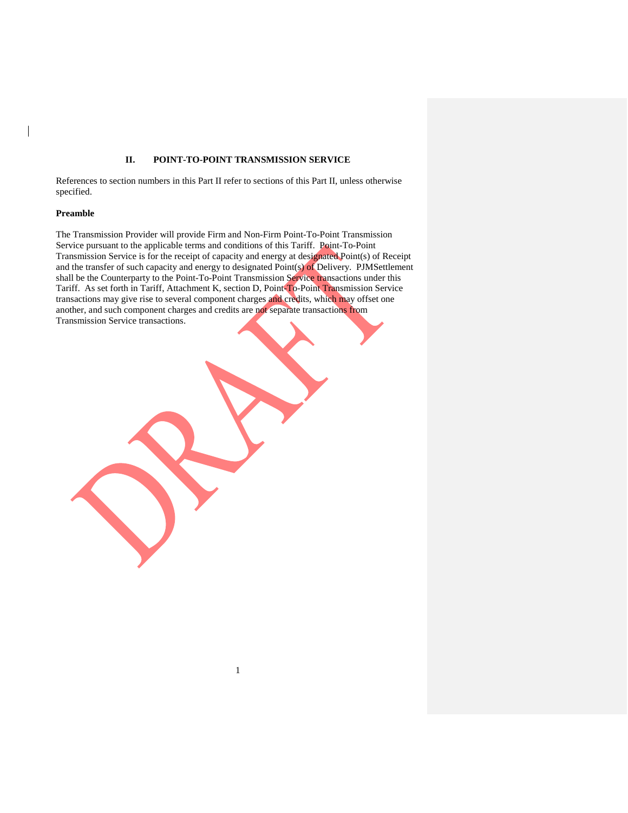## **II. POINT-TO-POINT TRANSMISSION SERVICE**

References to section numbers in this Part II refer to sections of this Part II, unless otherwise specified.

### **Preamble**

 $\overline{\phantom{a}}$ 

The Transmission Provider will provide Firm and Non-Firm Point-To-Point Transmission Service pursuant to the applicable terms and conditions of this Tariff. Point-To-Point Transmission Service is for the receipt of capacity and energy at designated Point(s) of Receipt and the transfer of such capacity and energy to designated Point(s) of Delivery. PJMSettlement shall be the Counterparty to the Point-To-Point Transmission Service transactions under this Tariff. As set forth in Tariff, Attachment K, section D, Point-To-Point Transmission Service transactions may give rise to several component charges and credits, which may offset one another, and such component charges and credits are not separate transactions from Transmission Service transactions.

1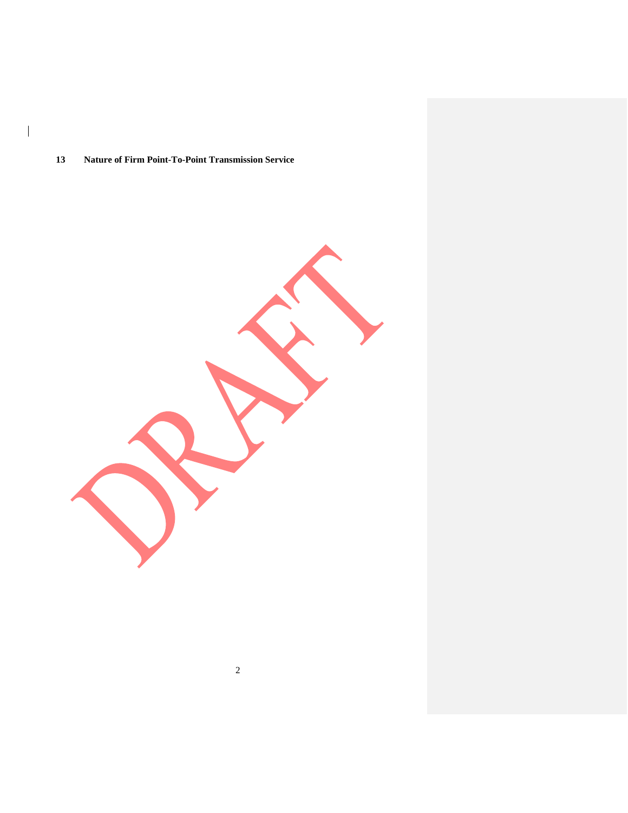## **Nature of Firm Point-To-Point Transmission Service**

 $\overline{\phantom{a}}$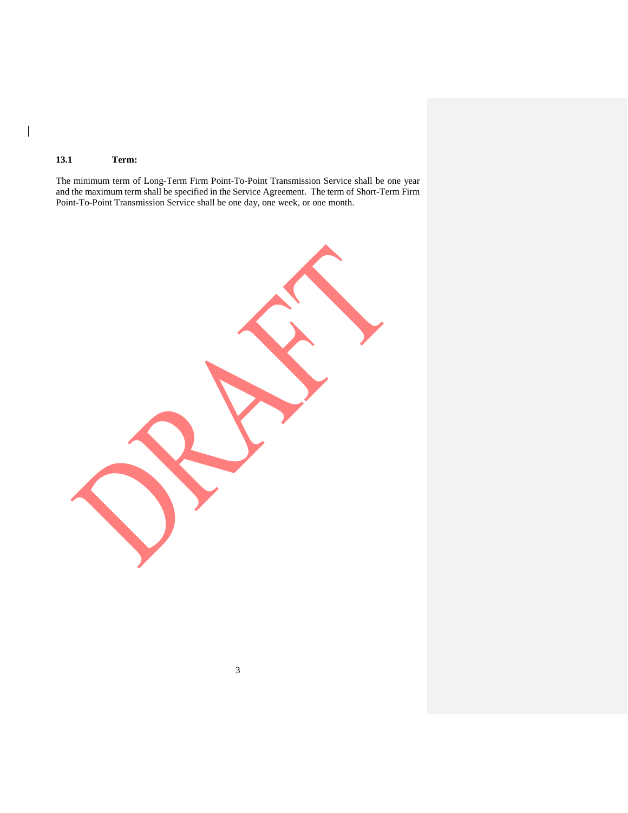## **13.1 Term:**

 $\begin{array}{c} \hline \end{array}$ 

The minimum term of Long-Term Firm Point-To-Point Transmission Service shall be one year and the maximum term shall be specified in the Service Agreement. The term of Short-Term Firm Point-To-Point Transmission Service shall be one day, one week, or one month.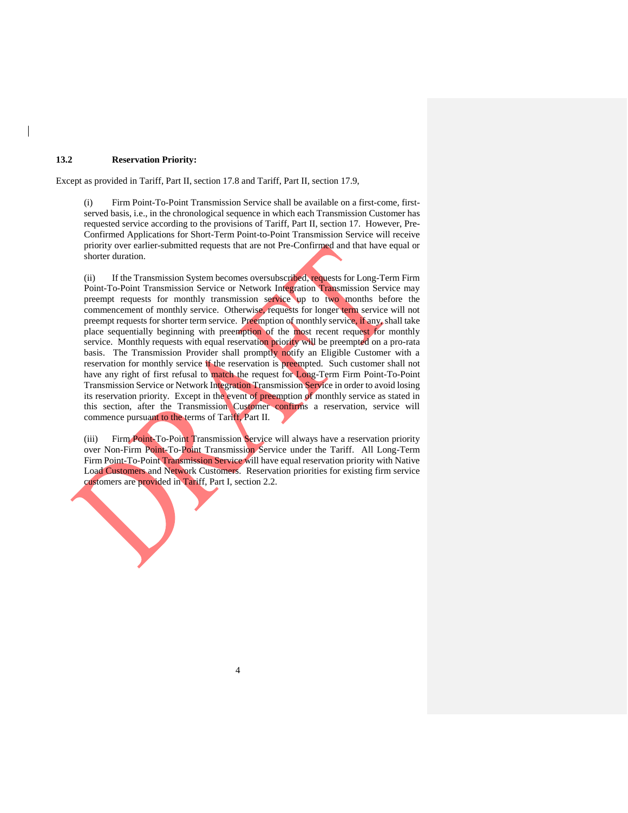## **13.2 Reservation Priority:**

Except as provided in Tariff, Part II, section 17.8 and Tariff, Part II, section 17.9,

(i) Firm Point-To-Point Transmission Service shall be available on a first-come, firstserved basis, i.e., in the chronological sequence in which each Transmission Customer has requested service according to the provisions of Tariff, Part II, section 17. However, Pre-Confirmed Applications for Short-Term Point-to-Point Transmission Service will receive priority over earlier-submitted requests that are not Pre-Confirmed and that have equal or shorter duration.

(ii) If the Transmission System becomes oversubscribed, requests for Long-Term Firm Point-To-Point Transmission Service or Network Integration Transmission Service may preempt requests for monthly transmission service up to two months before the commencement of monthly service. Otherwise, requests for longer term service will not preempt requests for shorter term service. Preemption of monthly service, if any, shall take place sequentially beginning with preemption of the most recent request for monthly service. Monthly requests with equal reservation priority will be preempted on a pro-rata basis. The Transmission Provider shall promptly notify an Eligible Customer with a reservation for monthly service if the reservation is preempted. Such customer shall not have any right of first refusal to match the request for Long-Term Firm Point-To-Point Transmission Service or Network Integration Transmission Service in order to avoid losing its reservation priority. Except in the event of preemption of monthly service as stated in this section, after the Transmission Customer confirms a reservation, service will commence pursuant to the terms of Tariff, Part II.

(iii) Firm Point-To-Point Transmission Service will always have a reservation priority over Non-Firm Point-To-Point Transmission Service under the Tariff. All Long-Term Firm Point-To-Point Transmission Service will have equal reservation priority with Native Load Customers and Network Customers. Reservation priorities for existing firm service customers are provided in Tariff, Part I, section 2.2.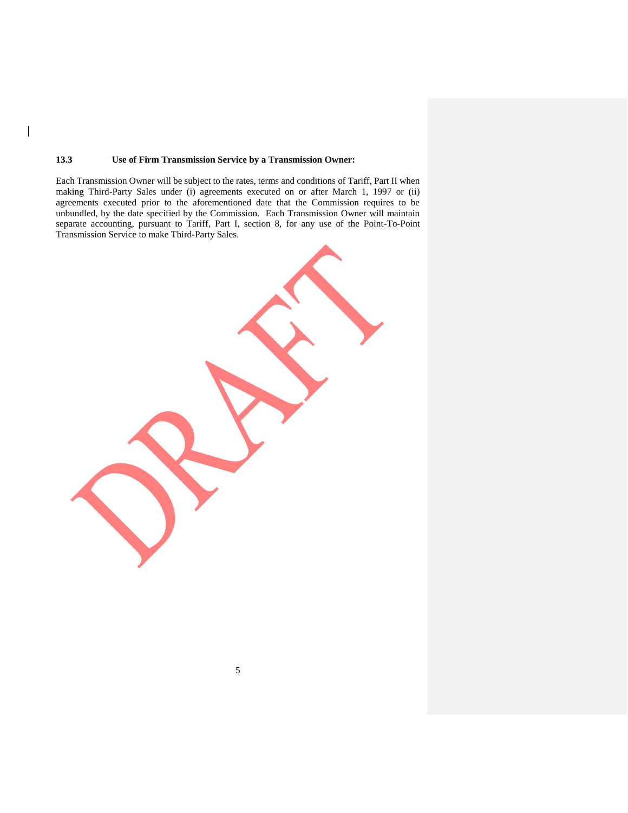## **13.3 Use of Firm Transmission Service by a Transmission Owner:**

 $\overline{\phantom{a}}$ 

Each Transmission Owner will be subject to the rates, terms and conditions of Tariff, Part II when making Third-Party Sales under (i) agreements executed on or after March 1, 1997 or (ii) agreements executed prior to the aforementioned date that the Commission requires to be unbundled, by the date specified by the Commission. Each Transmission Owner will maintain separate accounting, pursuant to Tariff, Part I, section 8, for any use of the Point-To-Point Transmission Service to make Third-Party Sales.

| . |
|---|
|   |
|   |
|   |
|   |
|   |
|   |
|   |
|   |
|   |
|   |
|   |
|   |
|   |
|   |
|   |
|   |
|   |
|   |
|   |
|   |
|   |
|   |
|   |
|   |
|   |
|   |
|   |
|   |
|   |
|   |
|   |
|   |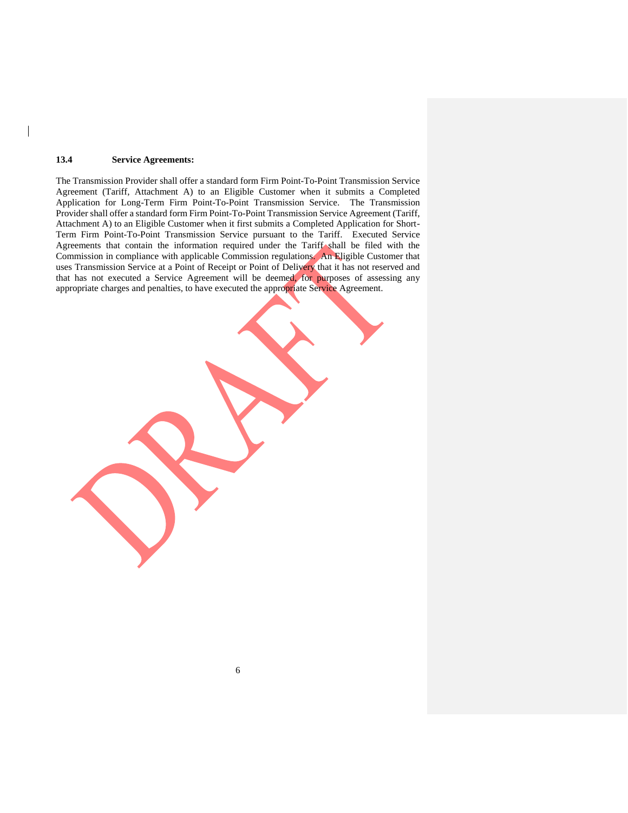### **13.4 Service Agreements:**

The Transmission Provider shall offer a standard form Firm Point-To-Point Transmission Service Agreement (Tariff, Attachment A) to an Eligible Customer when it submits a Completed Application for Long-Term Firm Point-To-Point Transmission Service. The Transmission Provider shall offer a standard form Firm Point-To-Point Transmission Service Agreement (Tariff, Attachment A) to an Eligible Customer when it first submits a Completed Application for Short-Term Firm Point-To-Point Transmission Service pursuant to the Tariff. Executed Service Agreements that contain the information required under the Tariff shall be filed with the Commission in compliance with applicable Commission regulations. An Eligible Customer that uses Transmission Service at a Point of Receipt or Point of Delivery that it has not reserved and that has not executed a Service Agreement will be deemed, for purposes of assessing any appropriate charges and penalties, to have executed the appropriate Service Agreement.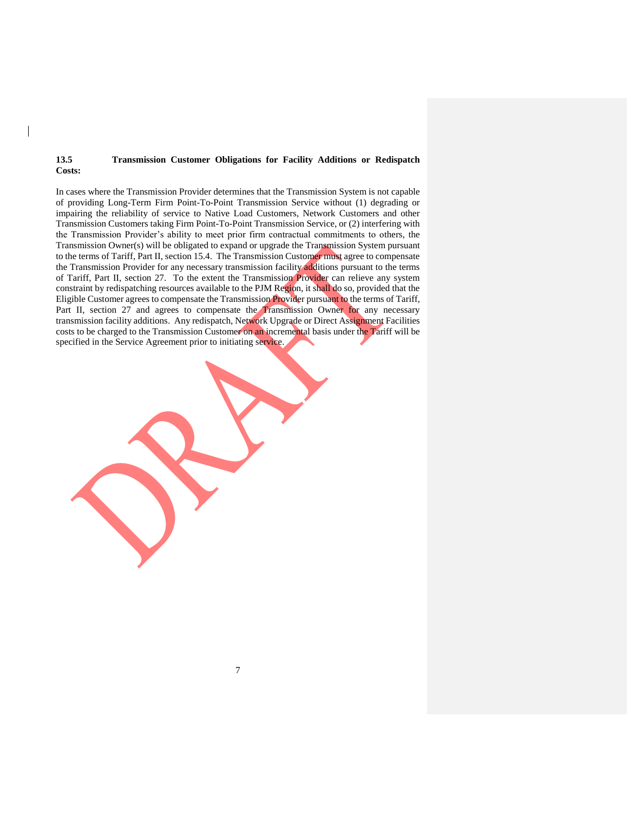### **13.5 Transmission Customer Obligations for Facility Additions or Redispatch Costs:**

In cases where the Transmission Provider determines that the Transmission System is not capable of providing Long-Term Firm Point-To-Point Transmission Service without (1) degrading or impairing the reliability of service to Native Load Customers, Network Customers and other Transmission Customers taking Firm Point-To-Point Transmission Service, or (2) interfering with the Transmission Provider's ability to meet prior firm contractual commitments to others, the Transmission Owner(s) will be obligated to expand or upgrade the Transmission System pursuant to the terms of Tariff, Part II, section 15.4. The Transmission Customer must agree to compensate the Transmission Provider for any necessary transmission facility additions pursuant to the terms of Tariff, Part II, section 27. To the extent the Transmission Provider can relieve any system constraint by redispatching resources available to the PJM Region, it shall do so, provided that the Eligible Customer agrees to compensate the Transmission Provider pursuant to the terms of Tariff, Part II, section 27 and agrees to compensate the Transmission Owner for any necessary transmission facility additions. Any redispatch, Network Upgrade or Direct Assignment Facilities costs to be charged to the Transmission Customer on an incremental basis under the Tariff will be specified in the Service Agreement prior to initiating service.

7

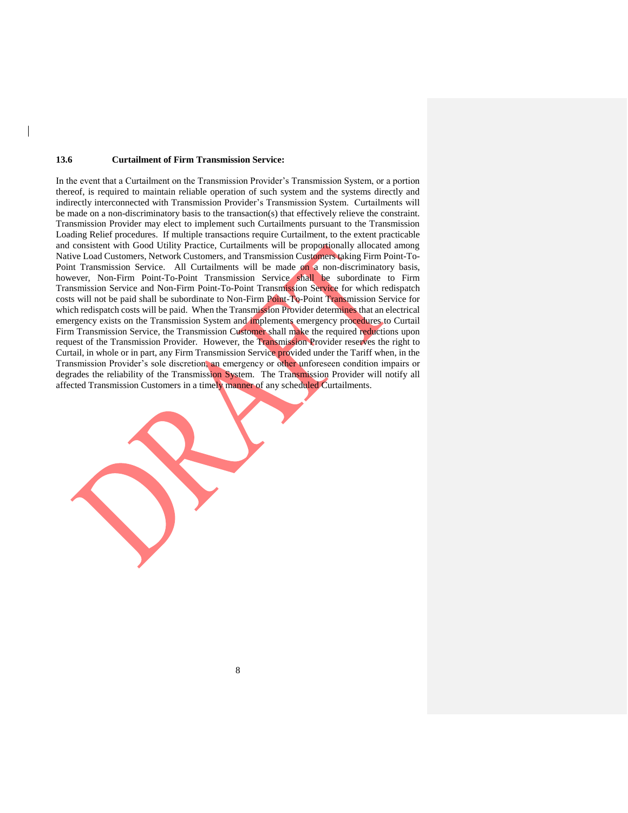#### **13.6 Curtailment of Firm Transmission Service:**

In the event that a Curtailment on the Transmission Provider's Transmission System, or a portion thereof, is required to maintain reliable operation of such system and the systems directly and indirectly interconnected with Transmission Provider's Transmission System. Curtailments will be made on a non-discriminatory basis to the transaction(s) that effectively relieve the constraint. Transmission Provider may elect to implement such Curtailments pursuant to the Transmission Loading Relief procedures. If multiple transactions require Curtailment, to the extent practicable and consistent with Good Utility Practice, Curtailments will be proportionally allocated among Native Load Customers, Network Customers, and Transmission Customers taking Firm Point-To-Point Transmission Service. All Curtailments will be made on a non-discriminatory basis, however, Non-Firm Point-To-Point Transmission Service shall be subordinate to Firm Transmission Service and Non-Firm Point-To-Point Transmission Service for which redispatch costs will not be paid shall be subordinate to Non-Firm Point-To-Point Transmission Service for which redispatch costs will be paid. When the Transmission Provider determines that an electrical emergency exists on the Transmission System and implements emergency procedures to Curtail Firm Transmission Service, the Transmission Customer shall make the required reductions upon request of the Transmission Provider. However, the Transmission Provider reserves the right to Curtail, in whole or in part, any Firm Transmission Service provided under the Tariff when, in the Transmission Provider's sole discretion, an emergency or other unforeseen condition impairs or degrades the reliability of the Transmission System. The Transmission Provider will notify all affected Transmission Customers in a timely manner of any scheduled Curtailments.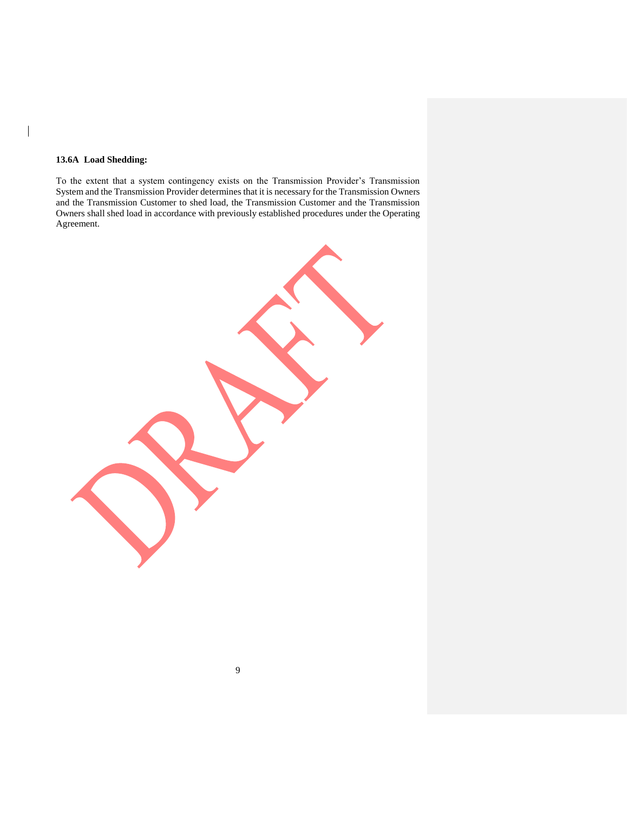## **13.6A Load Shedding:**

 $\overline{\phantom{a}}$ 

To the extent that a system contingency exists on the Transmission Provider's Transmission System and the Transmission Provider determines that it is necessary for the Transmission Owners and the Transmission Customer to shed load, the Transmission Customer and the Transmission Owners shall shed load in accordance with previously established procedures under the Operating Agreement.

9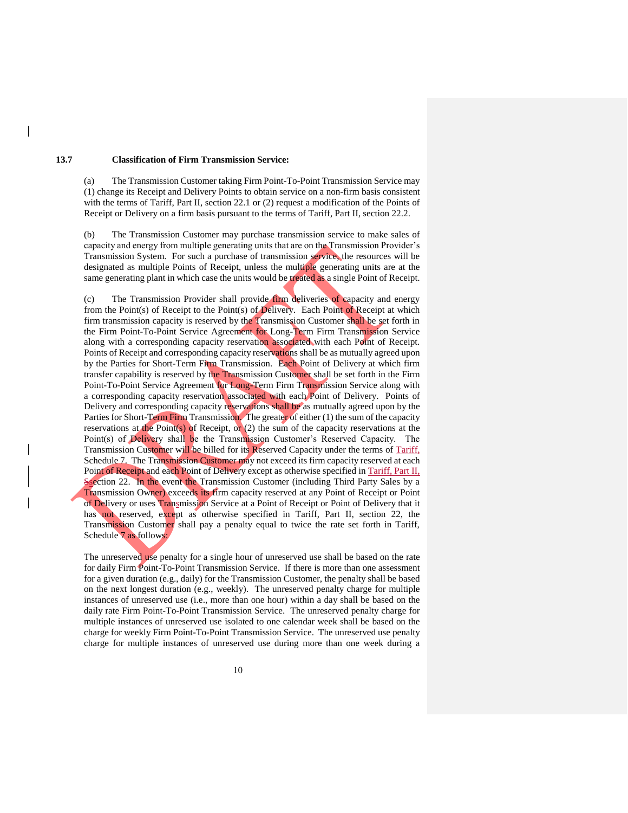## **13.7 Classification of Firm Transmission Service:**

(a) The Transmission Customer taking Firm Point-To-Point Transmission Service may (1) change its Receipt and Delivery Points to obtain service on a non-firm basis consistent with the terms of Tariff, Part II, section 22.1 or (2) request a modification of the Points of Receipt or Delivery on a firm basis pursuant to the terms of Tariff, Part II, section 22.2.

(b) The Transmission Customer may purchase transmission service to make sales of capacity and energy from multiple generating units that are on the Transmission Provider's Transmission System. For such a purchase of transmission service, the resources will be designated as multiple Points of Receipt, unless the multiple generating units are at the same generating plant in which case the units would be treated as a single Point of Receipt.

(c) The Transmission Provider shall provide firm deliveries of capacity and energy from the Point(s) of Receipt to the Point(s) of Delivery. Each Point of Receipt at which firm transmission capacity is reserved by the Transmission Customer shall be set forth in the Firm Point-To-Point Service Agreement for Long-Term Firm Transmission Service along with a corresponding capacity reservation associated with each Point of Receipt. Points of Receipt and corresponding capacity reservations shall be as mutually agreed upon by the Parties for Short-Term Firm Transmission. Each Point of Delivery at which firm transfer capability is reserved by the Transmission Customer shall be set forth in the Firm Point-To-Point Service Agreement for Long-Term Firm Transmission Service along with a corresponding capacity reservation associated with each Point of Delivery. Points of Delivery and corresponding capacity reservations shall be as mutually agreed upon by the Parties for Short-Term Firm Transmission. The greater of either (1) the sum of the capacity reservations at the Point(s) of Receipt, or  $(2)$  the sum of the capacity reservations at the Point(s) of Delivery shall be the Transmission Customer's Reserved Capacity. The Transmission Customer will be billed for its Reserved Capacity under the terms of Tariff, Schedule 7. The Transmission Customer may not exceed its firm capacity reserved at each Point of Receipt and each Point of Delivery except as otherwise specified in Tariff, Part II, Ssection 22. In the event the Transmission Customer (including Third Party Sales by a Transmission Owner) exceeds its firm capacity reserved at any Point of Receipt or Point of Delivery or uses Transmission Service at a Point of Receipt or Point of Delivery that it has not reserved, except as otherwise specified in Tariff, Part II, section 22, the Transmission Customer shall pay a penalty equal to twice the rate set forth in Tariff, Schedule 7 as follows:

The unreserved use penalty for a single hour of unreserved use shall be based on the rate for daily Firm Point-To-Point Transmission Service. If there is more than one assessment for a given duration (e.g., daily) for the Transmission Customer, the penalty shall be based on the next longest duration (e.g., weekly). The unreserved penalty charge for multiple instances of unreserved use (i.e., more than one hour) within a day shall be based on the daily rate Firm Point-To-Point Transmission Service. The unreserved penalty charge for multiple instances of unreserved use isolated to one calendar week shall be based on the charge for weekly Firm Point-To-Point Transmission Service. The unreserved use penalty charge for multiple instances of unreserved use during more than one week during a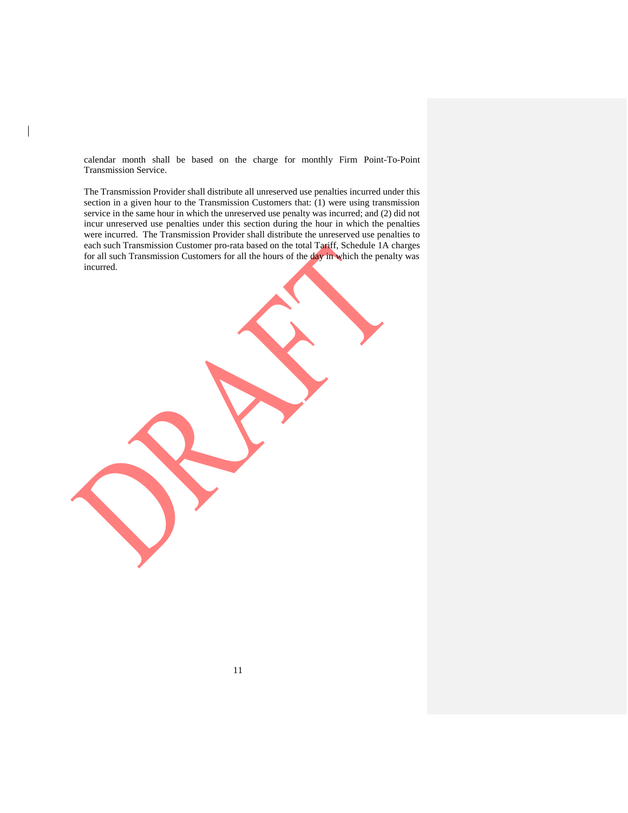calendar month shall be based on the charge for monthly Firm Point-To-Point Transmission Service.

The Transmission Provider shall distribute all unreserved use penalties incurred under this section in a given hour to the Transmission Customers that: (1) were using transmission service in the same hour in which the unreserved use penalty was incurred; and (2) did not incur unreserved use penalties under this section during the hour in which the penalties were incurred. The Transmission Provider shall distribute the unreserved use penalties to each such Transmission Customer pro-rata based on the total Tariff, Schedule 1A charges for all such Transmission Customers for all the hours of the day in which the penalty was incurred.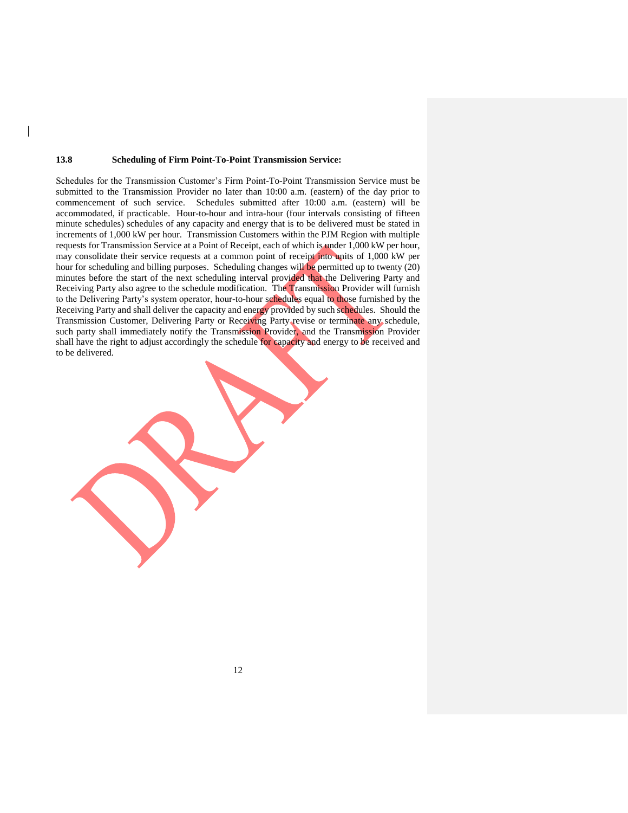#### **13.8 Scheduling of Firm Point-To-Point Transmission Service:**

Schedules for the Transmission Customer's Firm Point-To-Point Transmission Service must be submitted to the Transmission Provider no later than 10:00 a.m. (eastern) of the day prior to commencement of such service. Schedules submitted after 10:00 a.m. (eastern) will be accommodated, if practicable. Hour-to-hour and intra-hour (four intervals consisting of fifteen minute schedules) schedules of any capacity and energy that is to be delivered must be stated in increments of 1,000 kW per hour. Transmission Customers within the PJM Region with multiple requests for Transmission Service at a Point of Receipt, each of which is under 1,000 kW per hour, may consolidate their service requests at a common point of receipt into units of 1,000 kW per hour for scheduling and billing purposes. Scheduling changes will be permitted up to twenty (20) minutes before the start of the next scheduling interval provided that the Delivering Party and Receiving Party also agree to the schedule modification. The Transmission Provider will furnish to the Delivering Party's system operator, hour-to-hour schedules equal to those furnished by the Receiving Party and shall deliver the capacity and energy provided by such schedules. Should the Transmission Customer, Delivering Party or Receiving Party revise or terminate any schedule, such party shall immediately notify the Transmission Provider, and the Transmission Provider shall have the right to adjust accordingly the schedule for capacity and energy to be received and to be delivered.

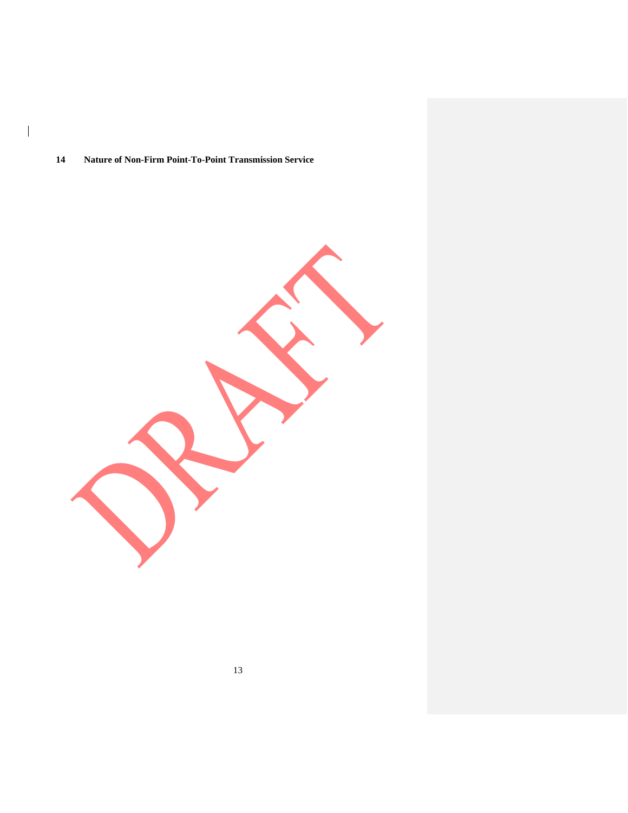## **Nature of Non-Firm Point-To-Point Transmission Service**

 $\begin{array}{c} \hline \end{array}$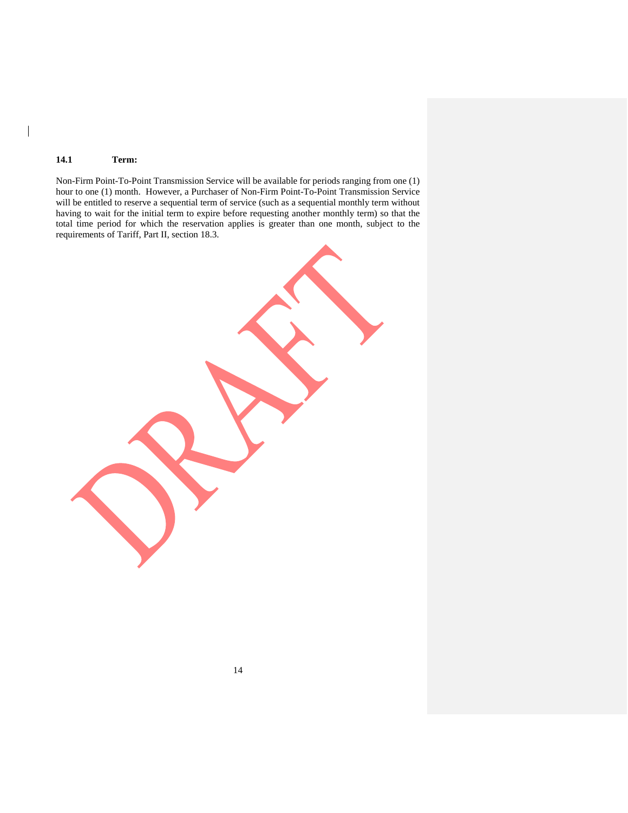## **14.1 Term:**

 $\overline{\phantom{a}}$ 

Non-Firm Point-To-Point Transmission Service will be available for periods ranging from one (1) hour to one (1) month. However, a Purchaser of Non-Firm Point-To-Point Transmission Service will be entitled to reserve a sequential term of service (such as a sequential monthly term without having to wait for the initial term to expire before requesting another monthly term) so that the total time period for which the reservation applies is greater than one month, subject to the requirements of Tariff, Part II, section 18.3.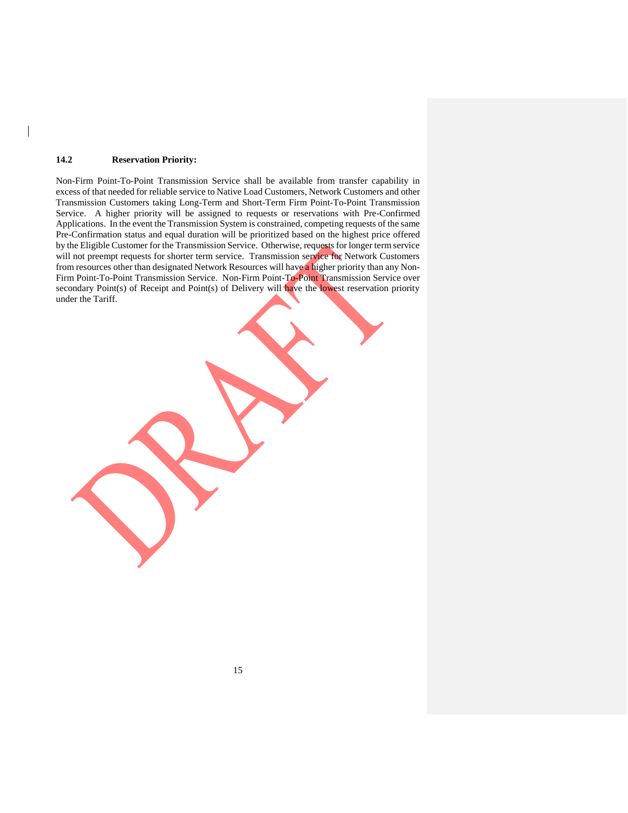### **14.2 Reservation Priority:**

Non-Firm Point-To-Point Transmission Service shall be available from transfer capability in excess of that needed for reliable service to Native Load Customers, Network Customers and other Transmission Customers taking Long-Term and Short-Term Firm Point-To-Point Transmission Service. A higher priority will be assigned to requests or reservations with Pre-Confirmed Applications. In the event the Transmission System is constrained, competing requests of the same Pre-Confirmation status and equal duration will be prioritized based on the highest price offered by the Eligible Customer for the Transmission Service. Otherwise, requests for longer term service will not preempt requests for shorter term service. Transmission service for Network Customers from resources other than designated Network Resources will have a higher priority than any Non-Firm Point-To-Point Transmission Service. Non-Firm Point-To-Point Transmission Service over secondary Point(s) of Receipt and Point(s) of Delivery will have the lowest reservation priority under the Tariff.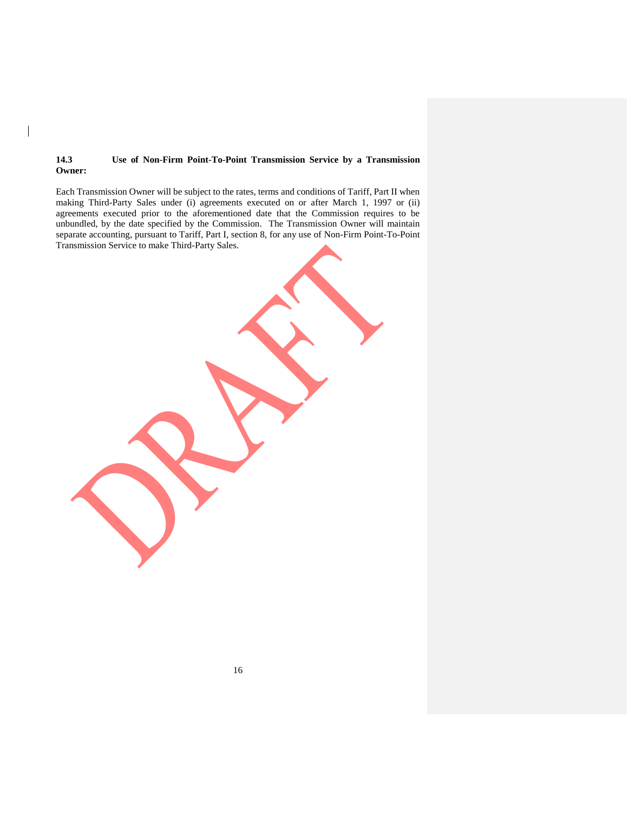## **14.3 Use of Non-Firm Point-To-Point Transmission Service by a Transmission Owner:**

 $\overline{\phantom{a}}$ 

Each Transmission Owner will be subject to the rates, terms and conditions of Tariff, Part II when making Third-Party Sales under (i) agreements executed on or after March 1, 1997 or (ii) agreements executed prior to the aforementioned date that the Commission requires to be unbundled, by the date specified by the Commission. The Transmission Owner will maintain separate accounting, pursuant to Tariff, Part I, section 8, for any use of Non-Firm Point-To-Point Transmission Service to make Third-Party Sales.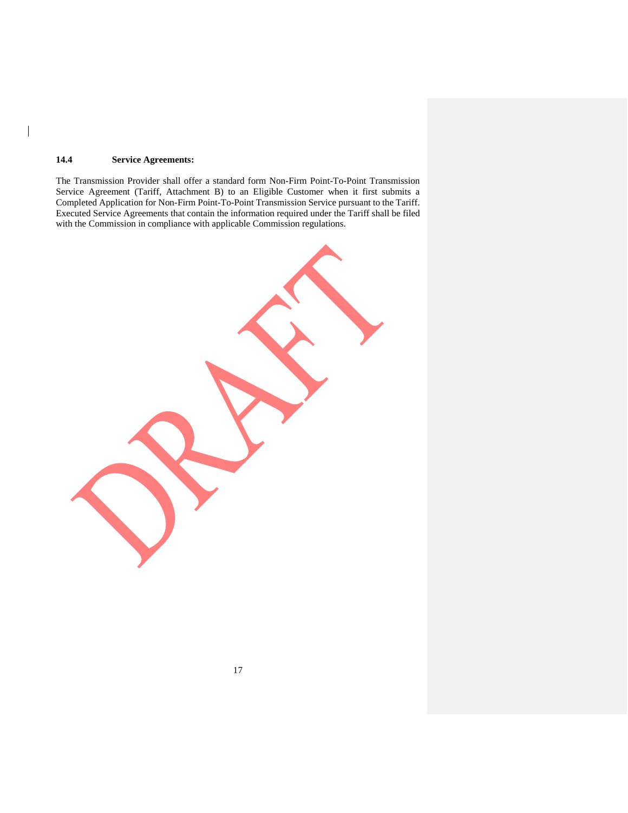## **14.4 Service Agreements:**

 $\overline{\phantom{a}}$ 

The Transmission Provider shall offer a standard form Non-Firm Point-To-Point Transmission Service Agreement (Tariff, Attachment B) to an Eligible Customer when it first submits a Completed Application for Non-Firm Point-To-Point Transmission Service pursuant to the Tariff. Executed Service Agreements that contain the information required under the Tariff shall be filed with the Commission in compliance with applicable Commission regulations.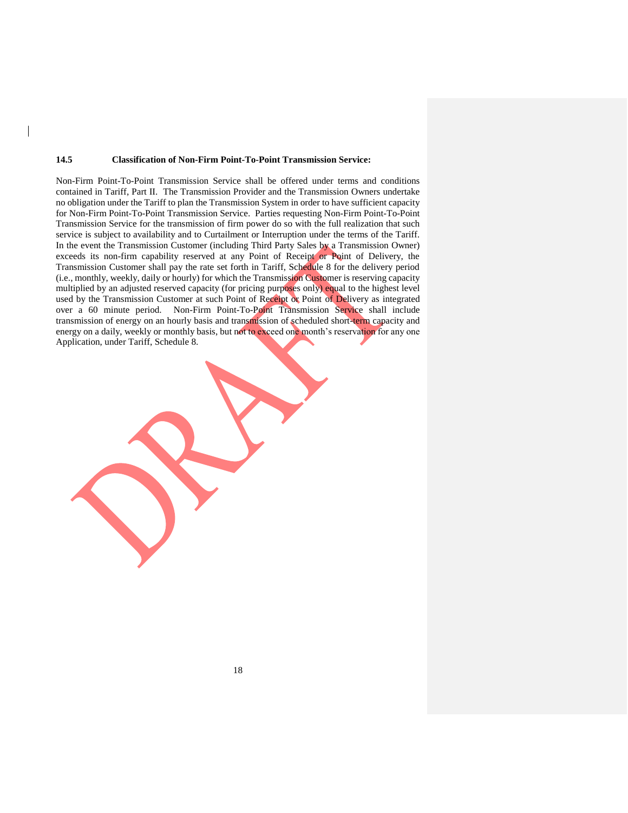#### **14.5 Classification of Non-Firm Point-To-Point Transmission Service:**

Non-Firm Point-To-Point Transmission Service shall be offered under terms and conditions contained in Tariff, Part II. The Transmission Provider and the Transmission Owners undertake no obligation under the Tariff to plan the Transmission System in order to have sufficient capacity for Non-Firm Point-To-Point Transmission Service. Parties requesting Non-Firm Point-To-Point Transmission Service for the transmission of firm power do so with the full realization that such service is subject to availability and to Curtailment or Interruption under the terms of the Tariff. In the event the Transmission Customer (including Third Party Sales by a Transmission Owner) exceeds its non-firm capability reserved at any Point of Receipt or Point of Delivery, the Transmission Customer shall pay the rate set forth in Tariff, Schedule 8 for the delivery period (i.e., monthly, weekly, daily or hourly) for which the Transmission Customer is reserving capacity multiplied by an adjusted reserved capacity (for pricing purposes only) equal to the highest level used by the Transmission Customer at such Point of Receipt or Point of Delivery as integrated over a 60 minute period. Non-Firm Point-To-Point Transmission Service shall include transmission of energy on an hourly basis and transmission of scheduled short-term capacity and energy on a daily, weekly or monthly basis, but not to exceed one month's reservation for any one Application, under Tariff, Schedule 8.

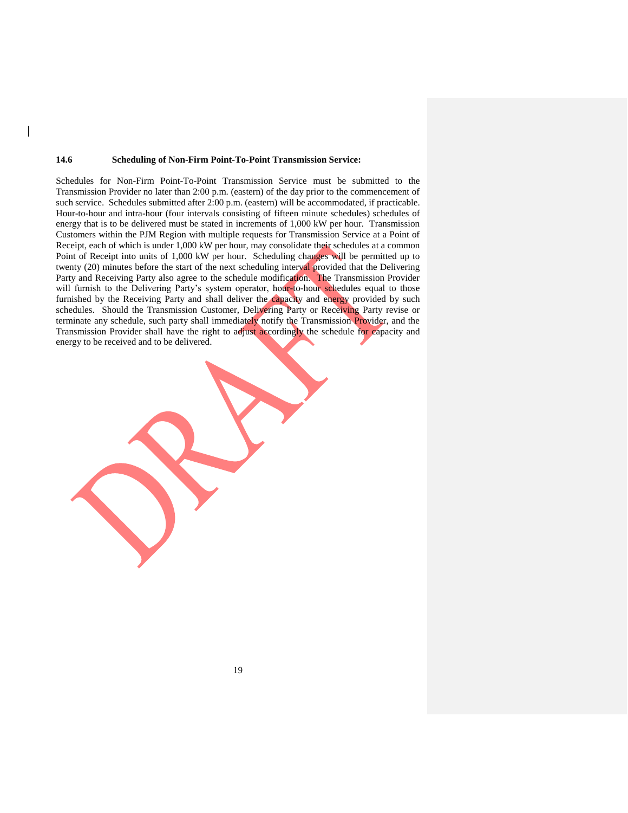#### **14.6 Scheduling of Non-Firm Point-To-Point Transmission Service:**

Schedules for Non-Firm Point-To-Point Transmission Service must be submitted to the Transmission Provider no later than 2:00 p.m. (eastern) of the day prior to the commencement of such service. Schedules submitted after 2:00 p.m. (eastern) will be accommodated, if practicable. Hour-to-hour and intra-hour (four intervals consisting of fifteen minute schedules) schedules of energy that is to be delivered must be stated in increments of 1,000 kW per hour. Transmission Customers within the PJM Region with multiple requests for Transmission Service at a Point of Receipt, each of which is under 1,000 kW per hour, may consolidate their schedules at a common Point of Receipt into units of 1,000 kW per hour. Scheduling changes will be permitted up to twenty (20) minutes before the start of the next scheduling interval provided that the Delivering Party and Receiving Party also agree to the schedule modification. The Transmission Provider will furnish to the Delivering Party's system operator, hour-to-hour schedules equal to those furnished by the Receiving Party and shall deliver the capacity and energy provided by such schedules. Should the Transmission Customer, Delivering Party or Receiving Party revise or terminate any schedule, such party shall immediately notify the Transmission Provider, and the Transmission Provider shall have the right to adjust accordingly the schedule for capacity and energy to be received and to be delivered.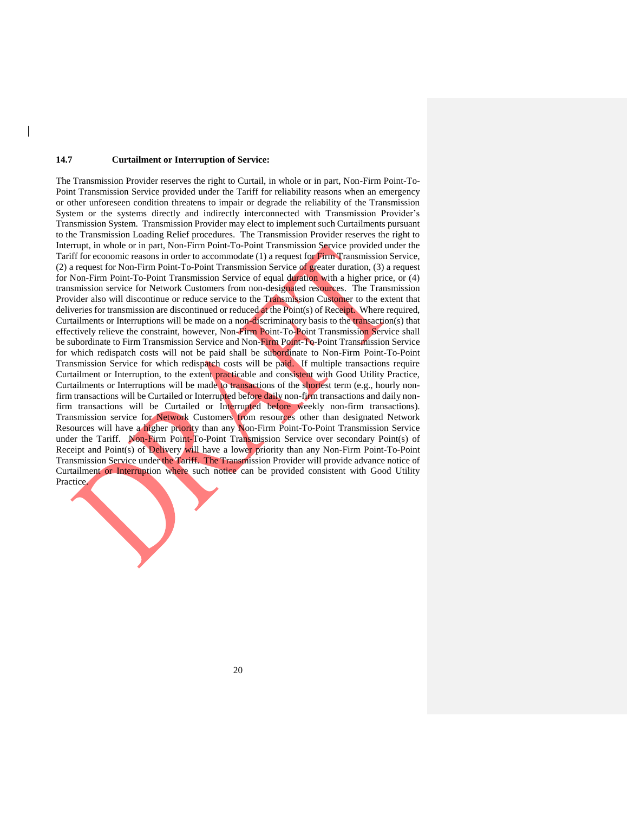#### **14.7 Curtailment or Interruption of Service:**

The Transmission Provider reserves the right to Curtail, in whole or in part, Non-Firm Point-To-Point Transmission Service provided under the Tariff for reliability reasons when an emergency or other unforeseen condition threatens to impair or degrade the reliability of the Transmission System or the systems directly and indirectly interconnected with Transmission Provider's Transmission System. Transmission Provider may elect to implement such Curtailments pursuant to the Transmission Loading Relief procedures. The Transmission Provider reserves the right to Interrupt, in whole or in part, Non-Firm Point-To-Point Transmission Service provided under the Tariff for economic reasons in order to accommodate (1) a request for Firm Transmission Service, (2) a request for Non-Firm Point-To-Point Transmission Service of greater duration, (3) a request for Non-Firm Point-To-Point Transmission Service of equal duration with a higher price, or (4) transmission service for Network Customers from non-designated resources. The Transmission Provider also will discontinue or reduce service to the Transmission Customer to the extent that deliveries for transmission are discontinued or reduced at the Point(s) of Receipt. Where required, Curtailments or Interruptions will be made on a non-discriminatory basis to the transaction(s) that effectively relieve the constraint, however, Non-Firm Point-To-Point Transmission Service shall be subordinate to Firm Transmission Service and Non-Firm Point-To-Point Transmission Service for which redispatch costs will not be paid shall be subordinate to Non-Firm Point-To-Point Transmission Service for which redispatch costs will be paid. If multiple transactions require Curtailment or Interruption, to the extent practicable and consistent with Good Utility Practice, Curtailments or Interruptions will be made to transactions of the shortest term (e.g., hourly nonfirm transactions will be Curtailed or Interrupted before daily non-firm transactions and daily nonfirm transactions will be Curtailed or Interrupted before weekly non-firm transactions). Transmission service for Network Customers from resources other than designated Network Resources will have a higher priority than any Non-Firm Point-To-Point Transmission Service under the Tariff. Non-Firm Point-To-Point Transmission Service over secondary Point(s) of Receipt and Point(s) of Delivery will have a lower priority than any Non-Firm Point-To-Point Transmission Service under the Tariff. The Transmission Provider will provide advance notice of Curtailment or Interruption where such notice can be provided consistent with Good Utility Practice.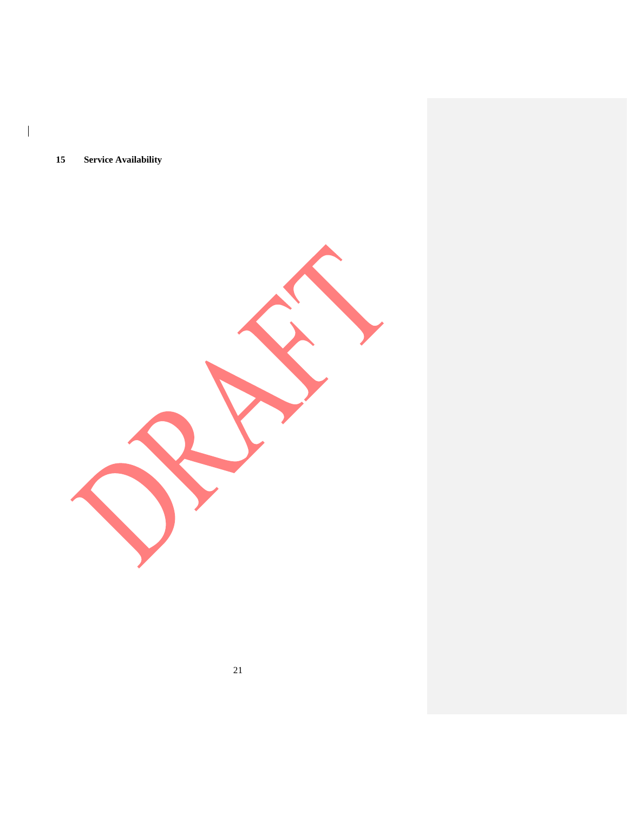**Service Availability**

 $\begin{array}{c} \hline \end{array}$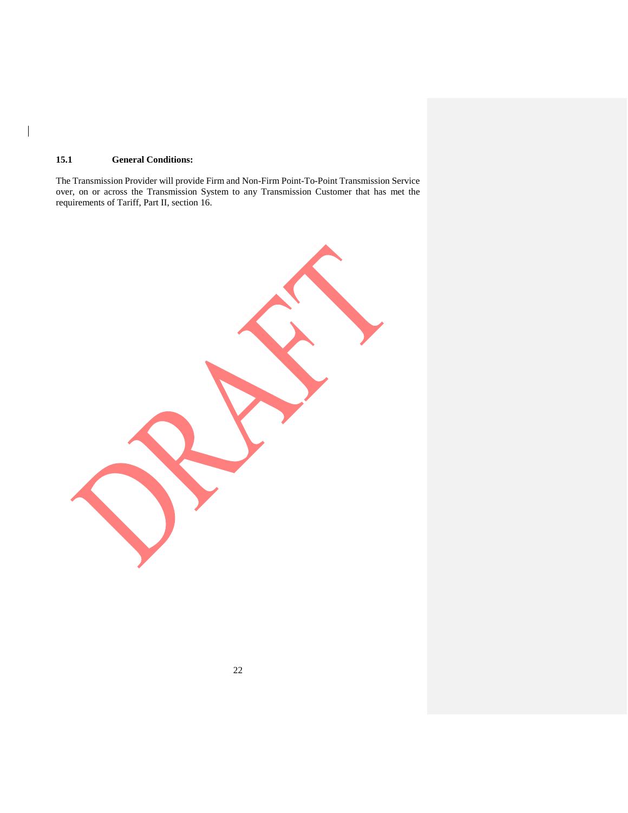## **15.1 General Conditions:**

 $\overline{\phantom{a}}$ 

The Transmission Provider will provide Firm and Non-Firm Point-To-Point Transmission Service over, on or across the Transmission System to any Transmission Customer that has met the requirements of Tariff, Part II, section 16.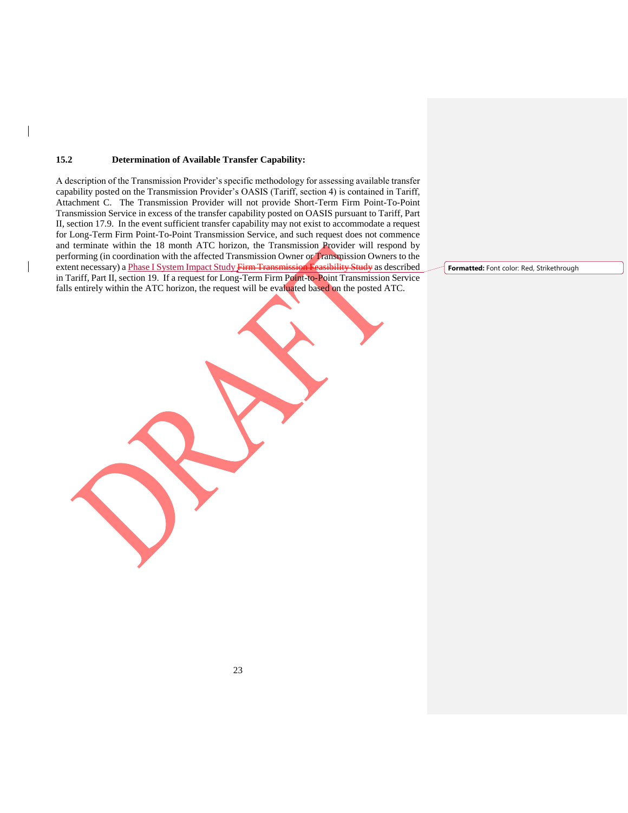### **15.2 Determination of Available Transfer Capability:**

A description of the Transmission Provider's specific methodology for assessing available transfer capability posted on the Transmission Provider's OASIS (Tariff, section 4) is contained in Tariff, Attachment C. The Transmission Provider will not provide Short-Term Firm Point-To-Point Transmission Service in excess of the transfer capability posted on OASIS pursuant to Tariff, Part II, section 17.9. In the event sufficient transfer capability may not exist to accommodate a request for Long-Term Firm Point-To-Point Transmission Service, and such request does not commence and terminate within the 18 month ATC horizon, the Transmission Provider will respond by performing (in coordination with the affected Transmission Owner or Transmission Owners to the extent necessary) a Phase I System Impact Study Firm Transmission Feasibility Study as described in Tariff, Part II, section 19. If a request for Long-Term Firm Point-to-Point Transmission Service falls entirely within the ATC horizon, the request will be evaluated based on the posted ATC.

**Formatted:** Font color: Red, Strikethrough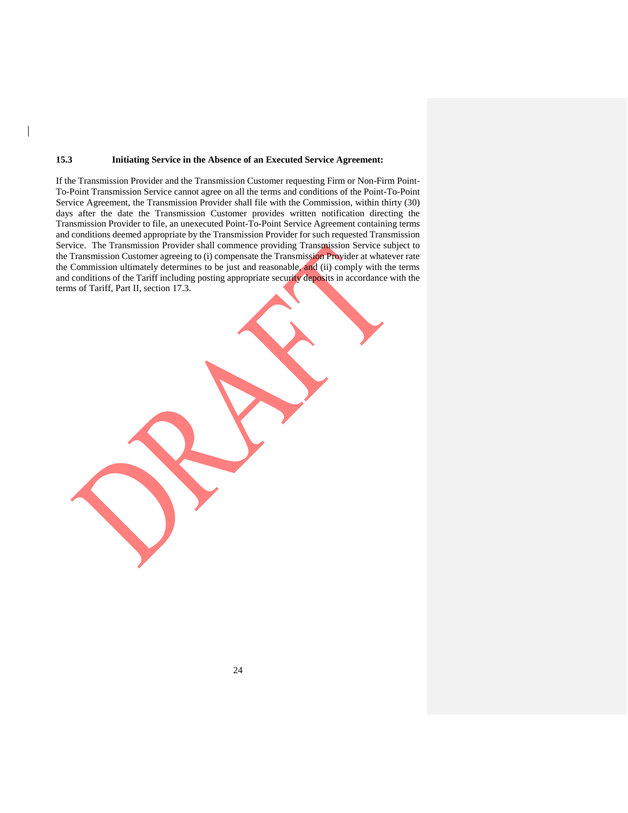### **15.3 Initiating Service in the Absence of an Executed Service Agreement:**

If the Transmission Provider and the Transmission Customer requesting Firm or Non-Firm Point-To-Point Transmission Service cannot agree on all the terms and conditions of the Point-To-Point Service Agreement, the Transmission Provider shall file with the Commission, within thirty (30) days after the date the Transmission Customer provides written notification directing the Transmission Provider to file, an unexecuted Point-To-Point Service Agreement containing terms and conditions deemed appropriate by the Transmission Provider for such requested Transmission Service. The Transmission Provider shall commence providing Transmission Service subject to the Transmission Customer agreeing to (i) compensate the Transmission Provider at whatever rate the Commission ultimately determines to be just and reasonable, and (ii) comply with the terms and conditions of the Tariff including posting appropriate security deposits in accordance with the terms of Tariff, Part II, section 17.3.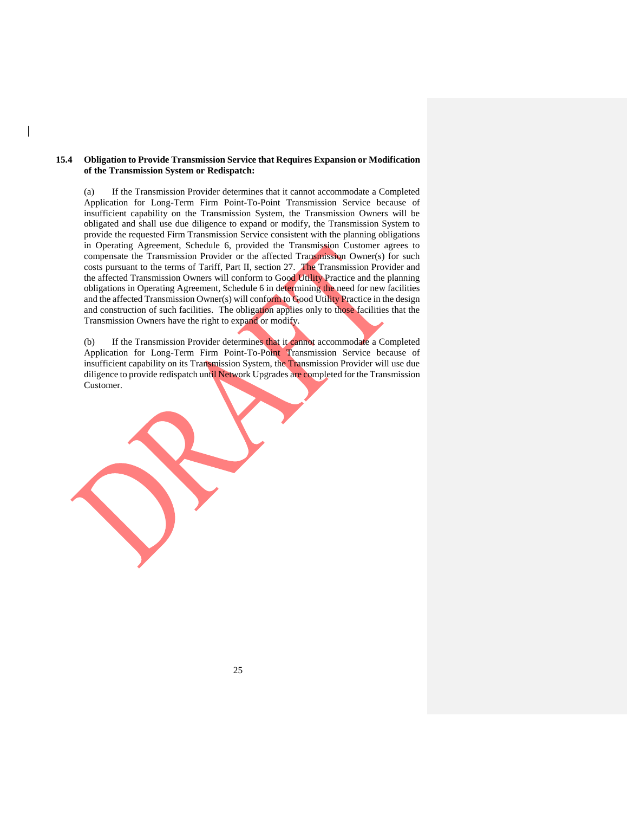## **15.4 Obligation to Provide Transmission Service that Requires Expansion or Modification of the Transmission System or Redispatch:**

(a) If the Transmission Provider determines that it cannot accommodate a Completed Application for Long-Term Firm Point-To-Point Transmission Service because of insufficient capability on the Transmission System, the Transmission Owners will be obligated and shall use due diligence to expand or modify, the Transmission System to provide the requested Firm Transmission Service consistent with the planning obligations in Operating Agreement, Schedule 6, provided the Transmission Customer agrees to compensate the Transmission Provider or the affected Transmission Owner(s) for such costs pursuant to the terms of Tariff, Part II, section 27. The Transmission Provider and the affected Transmission Owners will conform to Good Utility Practice and the planning obligations in Operating Agreement, Schedule 6 in determining the need for new facilities and the affected Transmission Owner(s) will conform to Good Utility Practice in the design and construction of such facilities. The obligation applies only to those facilities that the Transmission Owners have the right to expand or modify.

(b) If the Transmission Provider determines that it cannot accommodate a Completed Application for Long-Term Firm Point-To-Point Transmission Service because of insufficient capability on its Transmission System, the Transmission Provider will use due diligence to provide redispatch until Network Upgrades are completed for the Transmission Customer.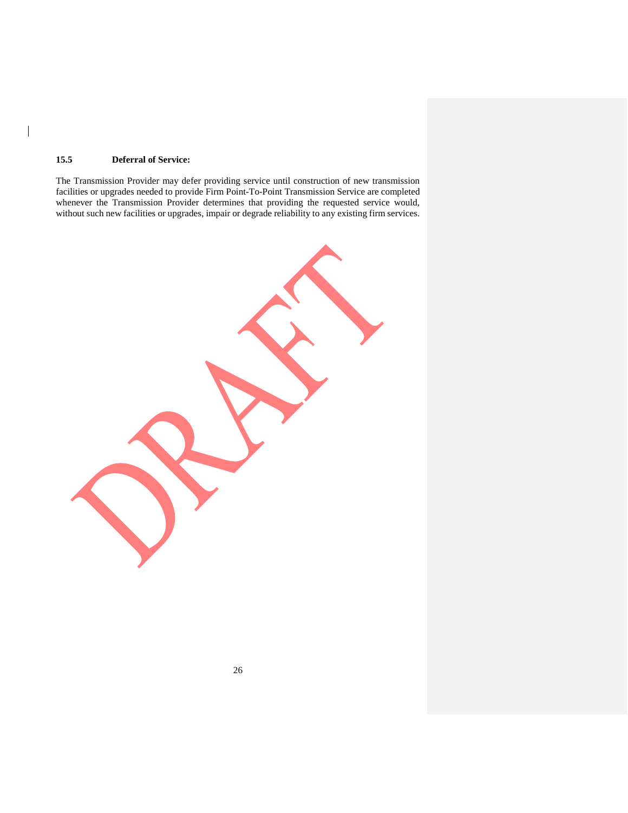## **15.5 Deferral of Service:**

 $\overline{\phantom{a}}$ 

The Transmission Provider may defer providing service until construction of new transmission facilities or upgrades needed to provide Firm Point-To-Point Transmission Service are completed whenever the Transmission Provider determines that providing the requested service would, without such new facilities or upgrades, impair or degrade reliability to any existing firm services.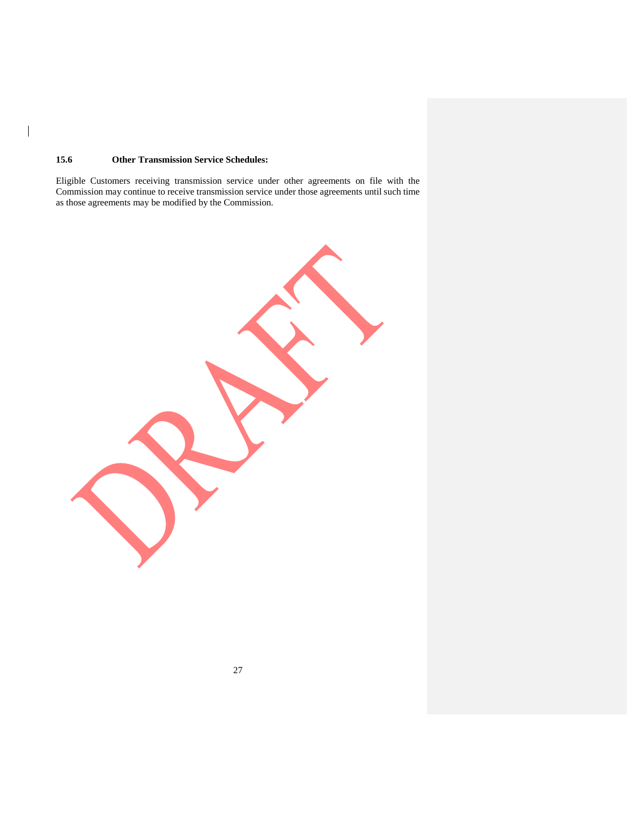## **15.6 Other Transmission Service Schedules:**

 $\overline{\phantom{a}}$ 

Eligible Customers receiving transmission service under other agreements on file with the Commission may continue to receive transmission service under those agreements until such time as those agreements may be modified by the Commission.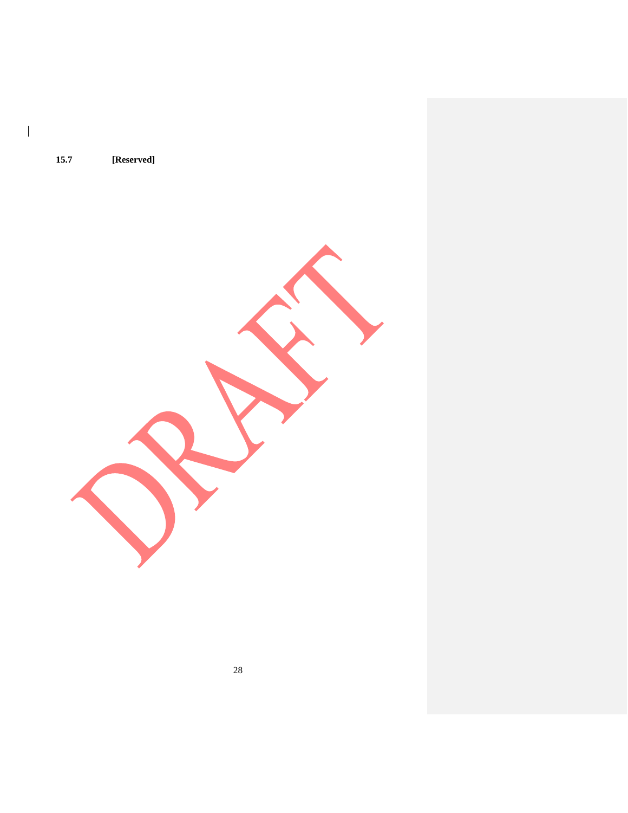**15.7 [Reserved]**

 $\overline{\phantom{a}}$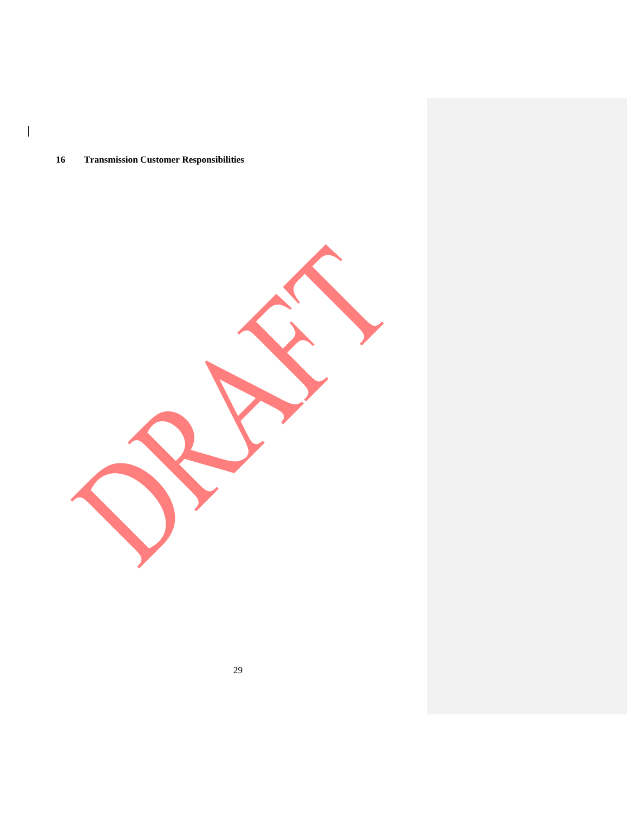## **Transmission Customer Responsibilities**

 $\overline{\phantom{a}}$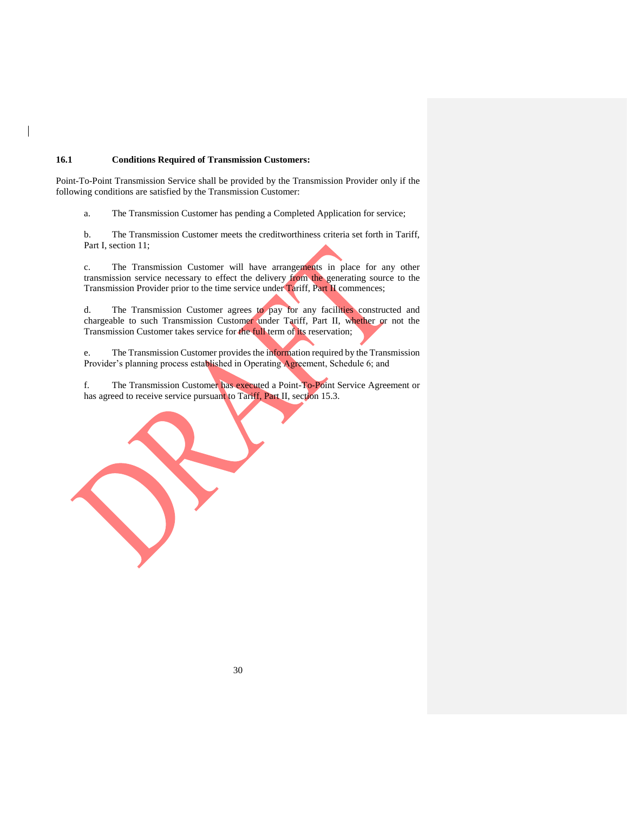## **16.1 Conditions Required of Transmission Customers:**

Point-To-Point Transmission Service shall be provided by the Transmission Provider only if the following conditions are satisfied by the Transmission Customer:

a. The Transmission Customer has pending a Completed Application for service;

b. The Transmission Customer meets the creditworthiness criteria set forth in Tariff, Part I, section 11;

c. The Transmission Customer will have arrangements in place for any other transmission service necessary to effect the delivery from the generating source to the Transmission Provider prior to the time service under Tariff, Part II commences;

d. The Transmission Customer agrees to pay for any facilities constructed and chargeable to such Transmission Customer under Tariff, Part II, whether or not the Transmission Customer takes service for the full term of its reservation;

e. The Transmission Customer provides the information required by the Transmission Provider's planning process established in Operating Agreement, Schedule 6; and

f. The Transmission Customer has executed a Point-To-Point Service Agreement or has agreed to receive service pursuant to Tariff, Part II, section 15.3.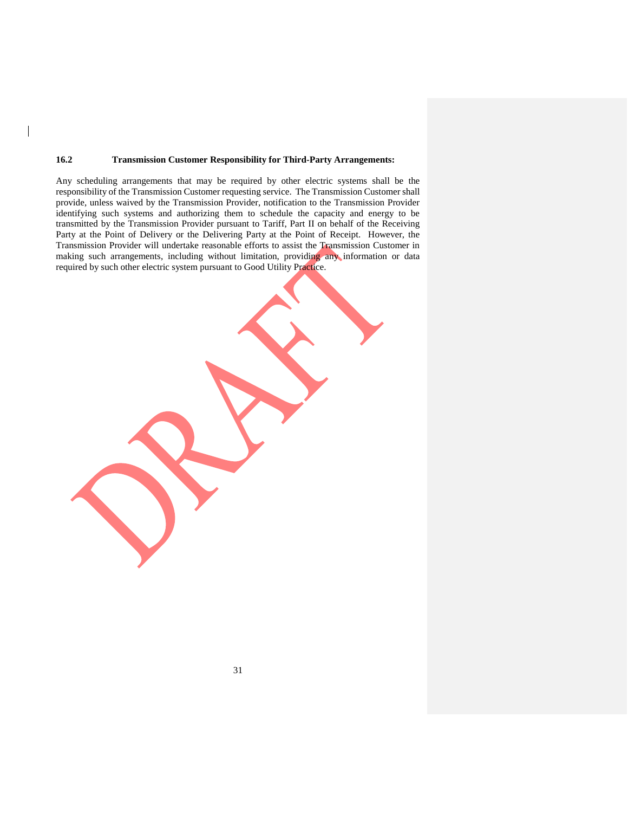### **16.2 Transmission Customer Responsibility for Third-Party Arrangements:**

Any scheduling arrangements that may be required by other electric systems shall be the responsibility of the Transmission Customer requesting service. The Transmission Customer shall provide, unless waived by the Transmission Provider, notification to the Transmission Provider identifying such systems and authorizing them to schedule the capacity and energy to be transmitted by the Transmission Provider pursuant to Tariff, Part II on behalf of the Receiving Party at the Point of Delivery or the Delivering Party at the Point of Receipt. However, the Transmission Provider will undertake reasonable efforts to assist the Transmission Customer in making such arrangements, including without limitation, providing any information or data required by such other electric system pursuant to Good Utility Practice.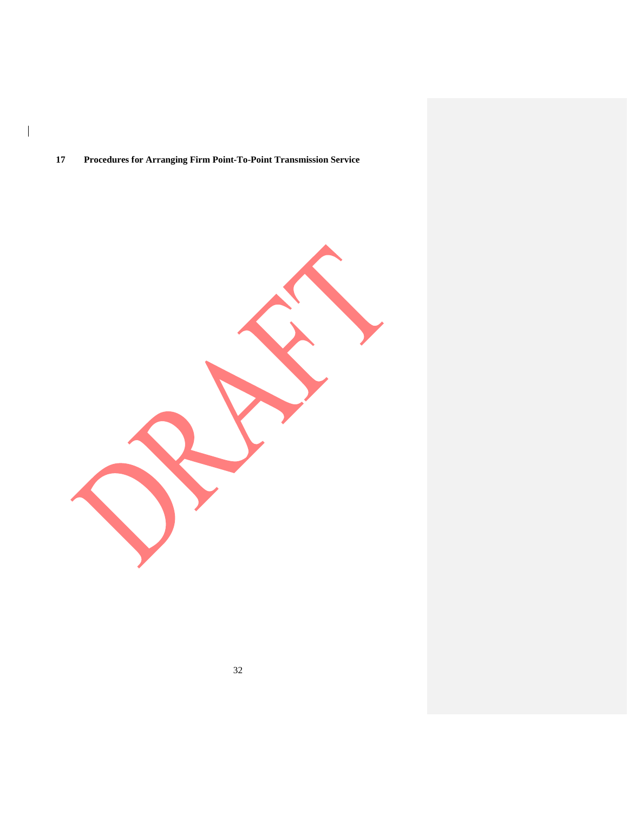# **Procedures for Arranging Firm Point-To-Point Transmission Service**

 $\overline{\phantom{a}}$ 

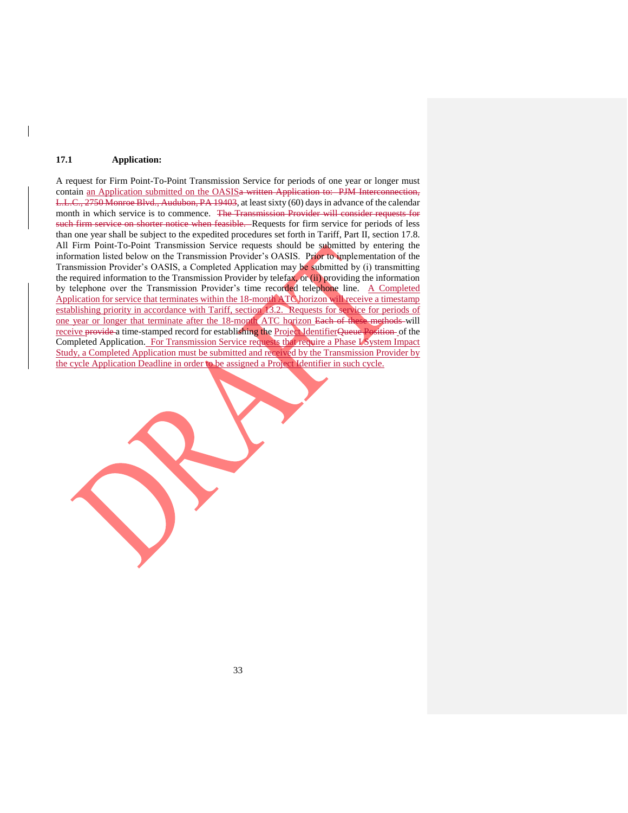## **17.1 Application:**

A request for Firm Point-To-Point Transmission Service for periods of one year or longer must contain an Application submitted on the OASISa written Application to: PJM Interconnection, L.L.C., 2750 Monroe Blvd., Audubon, PA 19403, at least sixty (60) days in advance of the calendar month in which service is to commence. The Transmission Provider will consider requests for such firm service on shorter notice when feasible. Requests for firm service for periods of less than one year shall be subject to the expedited procedures set forth in Tariff, Part II, section 17.8. All Firm Point-To-Point Transmission Service requests should be submitted by entering the information listed below on the Transmission Provider's OASIS. Prior to implementation of the Transmission Provider's OASIS, a Completed Application may be submitted by (i) transmitting the required information to the Transmission Provider by telefax, or (ii) providing the information by telephone over the Transmission Provider's time recorded telephone line. A Completed Application for service that terminates within the 18-month ATC horizon will receive a timestamp establishing priority in accordance with Tariff, section 13.2. Requests for service for periods of one year or longer that terminate after the 18-month ATC horizon Each of these methods will receive provide a time-stamped record for establishing the Project IdentifierQueue Position of the Completed Application. For Transmission Service requests that require a Phase I System Impact Study, a Completed Application must be submitted and received by the Transmission Provider by the cycle Application Deadline in order to be assigned a Project Identifier in such cycle.

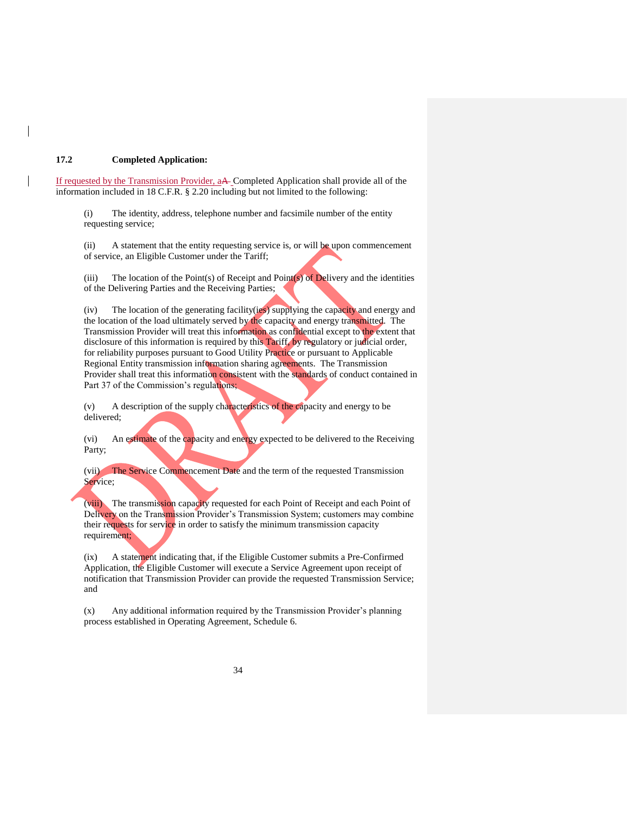## **17.2 Completed Application:**

If requested by the Transmission Provider, aA Completed Application shall provide all of the information included in 18 C.F.R. § 2.20 including but not limited to the following:

(i) The identity, address, telephone number and facsimile number of the entity requesting service;

(ii) A statement that the entity requesting service is, or will be upon commencement of service, an Eligible Customer under the Tariff;

(iii) The location of the Point(s) of Receipt and Point $(s)$  of Delivery and the identities of the Delivering Parties and the Receiving Parties;

(iv) The location of the generating facility(ies) supplying the capacity and energy and the location of the load ultimately served by the capacity and energy transmitted. The Transmission Provider will treat this information as confidential except to the extent that disclosure of this information is required by this Tariff, by regulatory or judicial order, for reliability purposes pursuant to Good Utility Practice or pursuant to Applicable Regional Entity transmission information sharing agreements. The Transmission Provider shall treat this information consistent with the standards of conduct contained in Part 37 of the Commission's regulations;

(v) A description of the supply characteristics of the capacity and energy to be delivered;

(vi) An estimate of the capacity and energy expected to be delivered to the Receiving Party;

(vii) The Service Commencement Date and the term of the requested Transmission Service;

(viii) The transmission capacity requested for each Point of Receipt and each Point of Delivery on the Transmission Provider's Transmission System; customers may combine their requests for service in order to satisfy the minimum transmission capacity requirement;

(ix) A statement indicating that, if the Eligible Customer submits a Pre-Confirmed Application, the Eligible Customer will execute a Service Agreement upon receipt of notification that Transmission Provider can provide the requested Transmission Service; and

(x) Any additional information required by the Transmission Provider's planning process established in Operating Agreement, Schedule 6.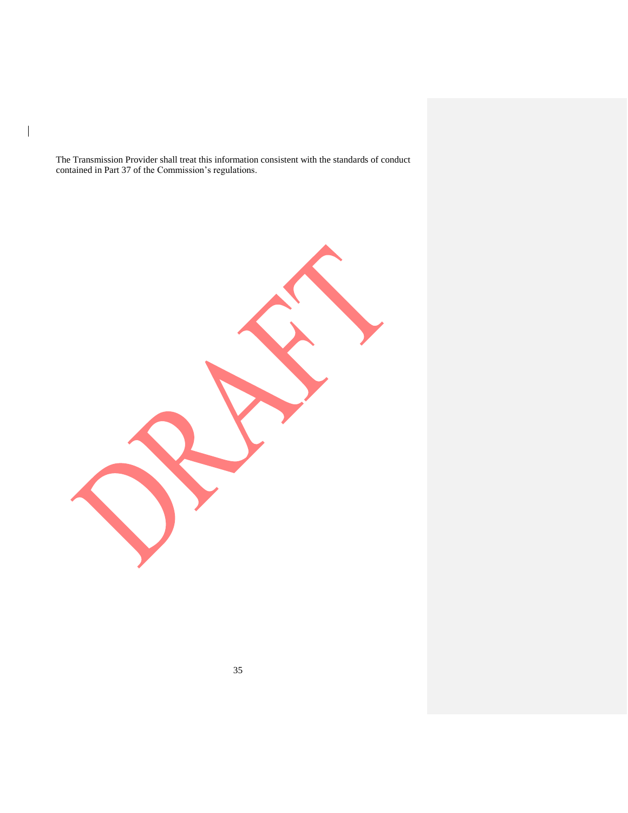The Transmission Provider shall treat this information consistent with the standards of conduct contained in Part 37 of the Commission's regulations.

 $\mathsf I$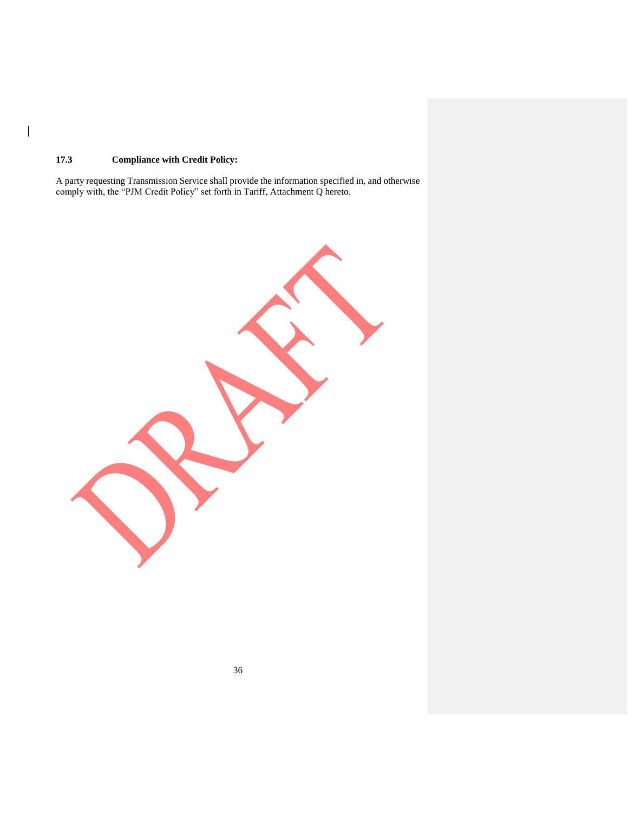# **17.3 Compliance with Credit Policy:**

 $\overline{\phantom{a}}$ 

A party requesting Transmission Service shall provide the information specified in, and otherwise comply with, the "PJM Credit Policy" set forth in Tariff, Attachment Q hereto.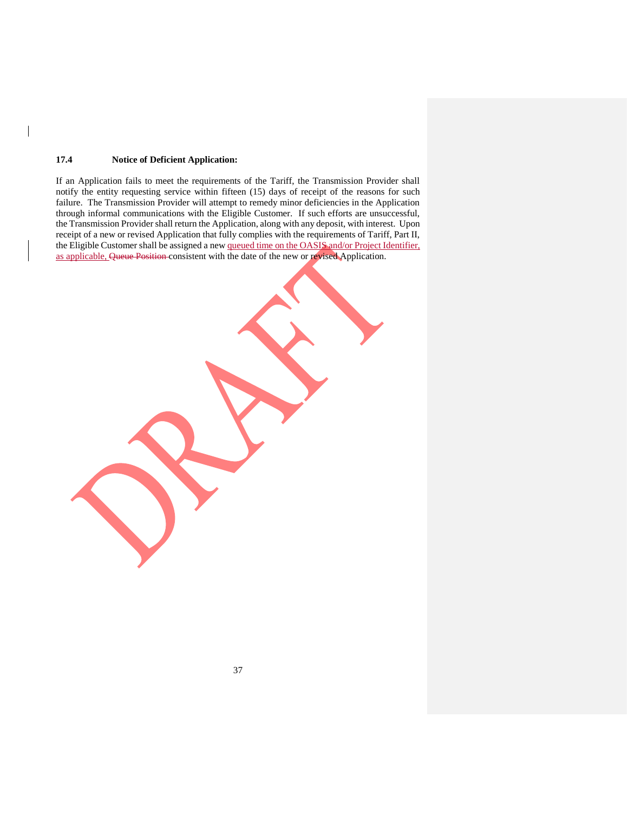## **17.4 Notice of Deficient Application:**

If an Application fails to meet the requirements of the Tariff, the Transmission Provider shall notify the entity requesting service within fifteen (15) days of receipt of the reasons for such failure. The Transmission Provider will attempt to remedy minor deficiencies in the Application through informal communications with the Eligible Customer. If such efforts are unsuccessful, the Transmission Provider shall return the Application, along with any deposit, with interest. Upon receipt of a new or revised Application that fully complies with the requirements of Tariff, Part II, the Eligible Customer shall be assigned a new queued time on the OASIS and/or Project Identifier, as applicable, Queue Position consistent with the date of the new or revised Application.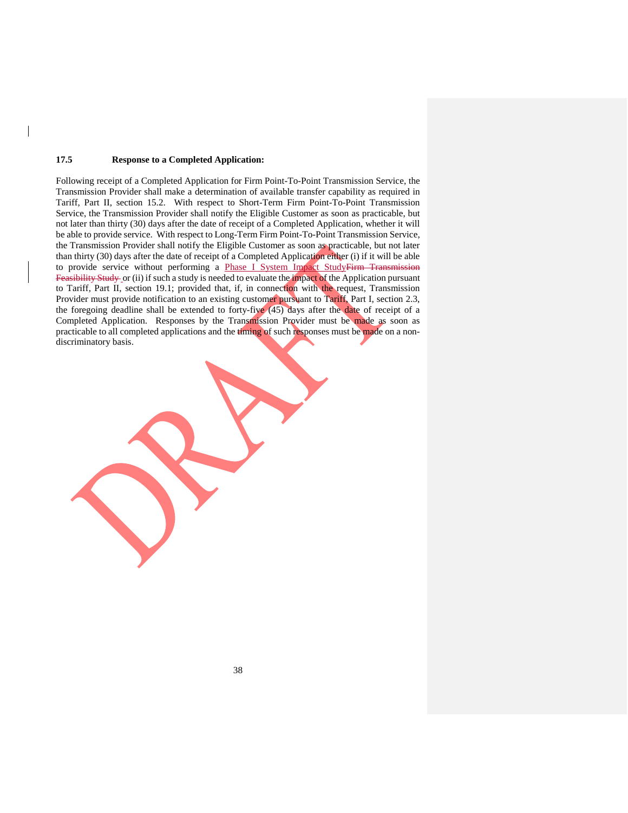#### **17.5 Response to a Completed Application:**

Following receipt of a Completed Application for Firm Point-To-Point Transmission Service, the Transmission Provider shall make a determination of available transfer capability as required in Tariff, Part II, section 15.2. With respect to Short-Term Firm Point-To-Point Transmission Service, the Transmission Provider shall notify the Eligible Customer as soon as practicable, but not later than thirty (30) days after the date of receipt of a Completed Application, whether it will be able to provide service. With respect to Long-Term Firm Point-To-Point Transmission Service, the Transmission Provider shall notify the Eligible Customer as soon as practicable, but not later than thirty (30) days after the date of receipt of a Completed Application either (i) if it will be able to provide service without performing a Phase I System Impact StudyFirm Transmission Feasibility Study or (ii) if such a study is needed to evaluate the impact of the Application pursuant to Tariff, Part II, section 19.1; provided that, if, in connection with the request, Transmission Provider must provide notification to an existing customer pursuant to Tariff, Part I, section 2.3, the foregoing deadline shall be extended to forty-five (45) days after the date of receipt of a Completed Application. Responses by the Transmission Provider must be made as soon as practicable to all completed applications and the timing of such responses must be made on a nondiscriminatory basis.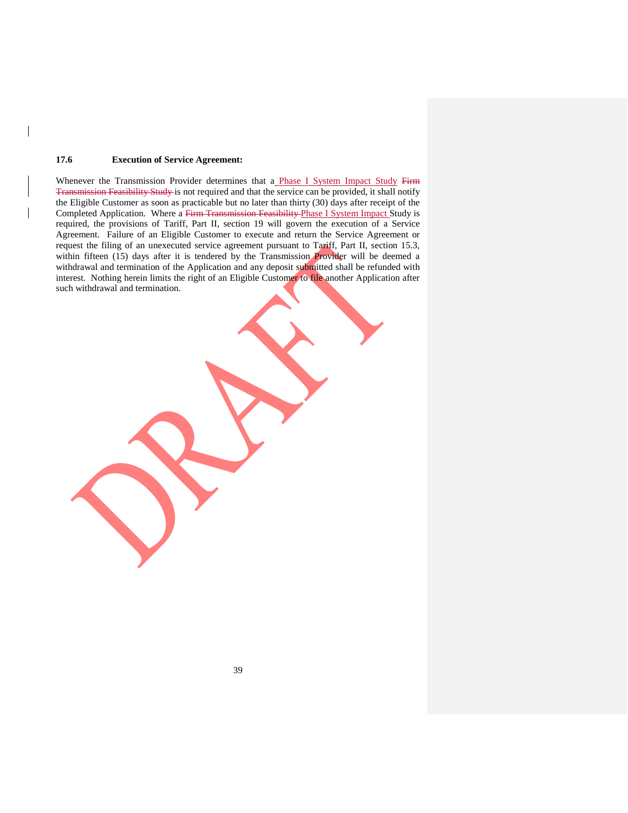### **17.6 Execution of Service Agreement:**

Whenever the Transmission Provider determines that a Phase I System Impact Study Firm Transmission Feasibility Study is not required and that the service can be provided, it shall notify the Eligible Customer as soon as practicable but no later than thirty (30) days after receipt of the Completed Application. Where a Firm Transmission Feasibility Phase I System Impact Study is required, the provisions of Tariff, Part II, section 19 will govern the execution of a Service Agreement. Failure of an Eligible Customer to execute and return the Service Agreement or request the filing of an unexecuted service agreement pursuant to Tariff, Part II, section 15.3, within fifteen (15) days after it is tendered by the Transmission Provider will be deemed a withdrawal and termination of the Application and any deposit submitted shall be refunded with interest. Nothing herein limits the right of an Eligible Customer to file another Application after such withdrawal and termination.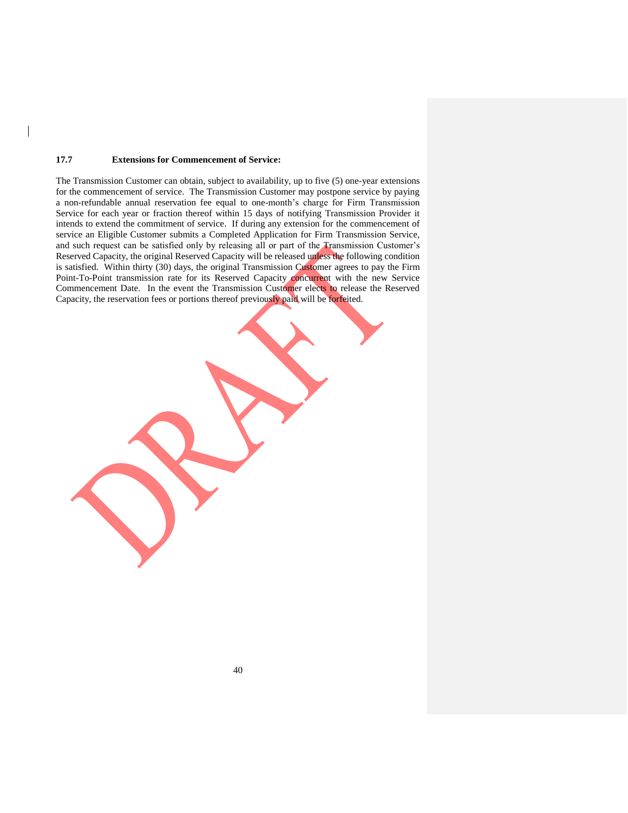#### **17.7 Extensions for Commencement of Service:**

The Transmission Customer can obtain, subject to availability, up to five (5) one-year extensions for the commencement of service. The Transmission Customer may postpone service by paying a non-refundable annual reservation fee equal to one-month's charge for Firm Transmission Service for each year or fraction thereof within 15 days of notifying Transmission Provider it intends to extend the commitment of service. If during any extension for the commencement of service an Eligible Customer submits a Completed Application for Firm Transmission Service, and such request can be satisfied only by releasing all or part of the Transmission Customer's Reserved Capacity, the original Reserved Capacity will be released unless the following condition is satisfied. Within thirty (30) days, the original Transmission Customer agrees to pay the Firm Point-To-Point transmission rate for its Reserved Capacity concurrent with the new Service Commencement Date. In the event the Transmission Customer elects to release the Reserved Capacity, the reservation fees or portions thereof previously paid will be forfeited.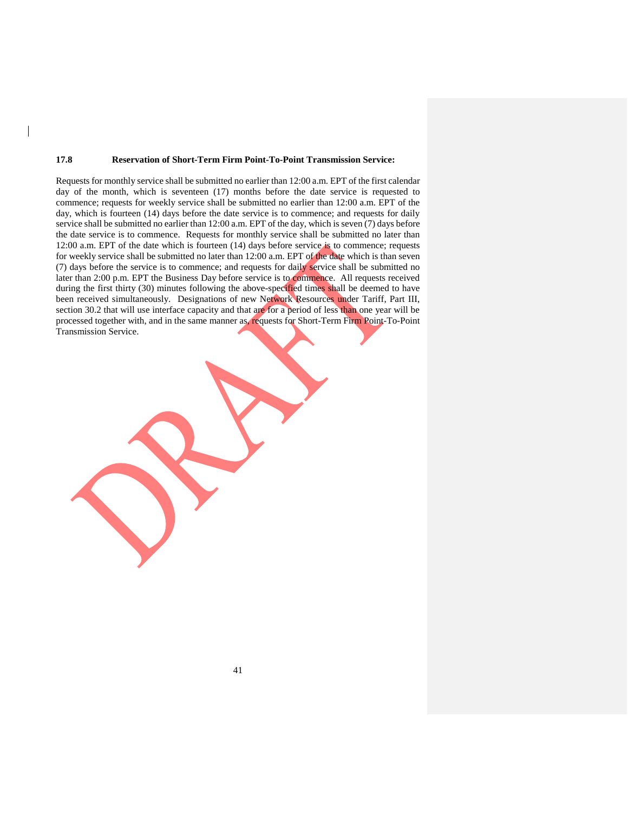#### **17.8 Reservation of Short-Term Firm Point-To-Point Transmission Service:**

Requests for monthly service shall be submitted no earlier than 12:00 a.m. EPT of the first calendar day of the month, which is seventeen (17) months before the date service is requested to commence; requests for weekly service shall be submitted no earlier than 12:00 a.m. EPT of the day, which is fourteen (14) days before the date service is to commence; and requests for daily service shall be submitted no earlier than 12:00 a.m. EPT of the day, which is seven (7) days before the date service is to commence. Requests for monthly service shall be submitted no later than 12:00 a.m. EPT of the date which is fourteen (14) days before service is to commence; requests for weekly service shall be submitted no later than 12:00 a.m. EPT of the date which is than seven (7) days before the service is to commence; and requests for daily service shall be submitted no later than 2:00 p.m. EPT the Business Day before service is to commence. All requests received during the first thirty (30) minutes following the above-specified times shall be deemed to have been received simultaneously. Designations of new Network Resources under Tariff, Part III, section 30.2 that will use interface capacity and that are for a period of less than one year will be processed together with, and in the same manner as, requests for Short-Term Firm Point-To-Point Transmission Service.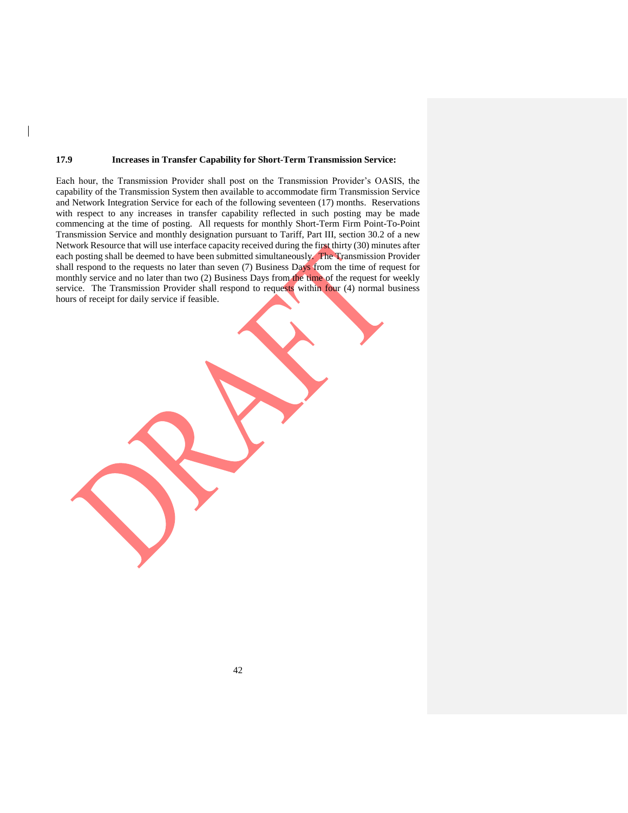### **17.9 Increases in Transfer Capability for Short-Term Transmission Service:**

Each hour, the Transmission Provider shall post on the Transmission Provider's OASIS, the capability of the Transmission System then available to accommodate firm Transmission Service and Network Integration Service for each of the following seventeen (17) months. Reservations with respect to any increases in transfer capability reflected in such posting may be made commencing at the time of posting. All requests for monthly Short-Term Firm Point-To-Point Transmission Service and monthly designation pursuant to Tariff, Part III, section 30.2 of a new Network Resource that will use interface capacity received during the first thirty (30) minutes after each posting shall be deemed to have been submitted simultaneously. The Transmission Provider shall respond to the requests no later than seven (7) Business Days from the time of request for monthly service and no later than two (2) Business Days from the time of the request for weekly service. The Transmission Provider shall respond to requests within four (4) normal business hours of receipt for daily service if feasible.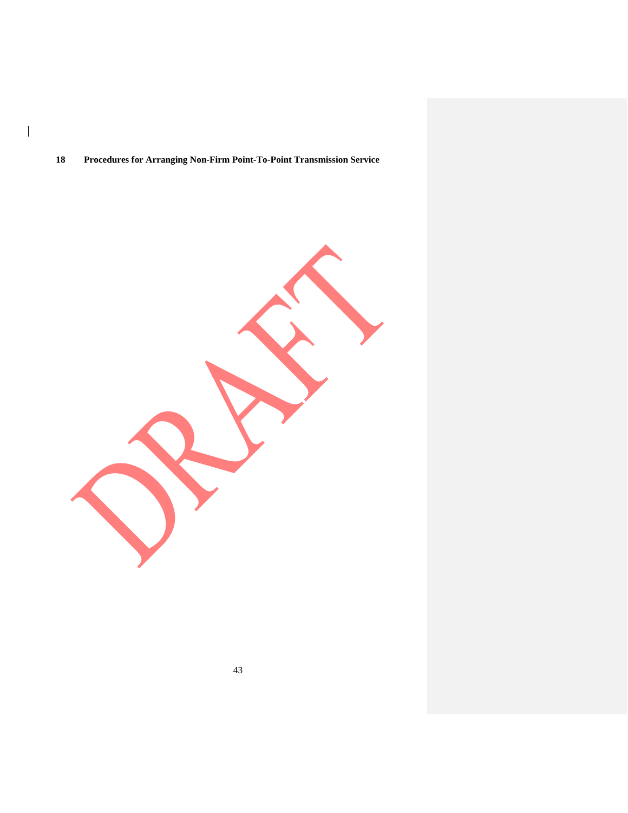## **Procedures for Arranging Non-Firm Point-To-Point Transmission Service**

 $\overline{\phantom{a}}$ 

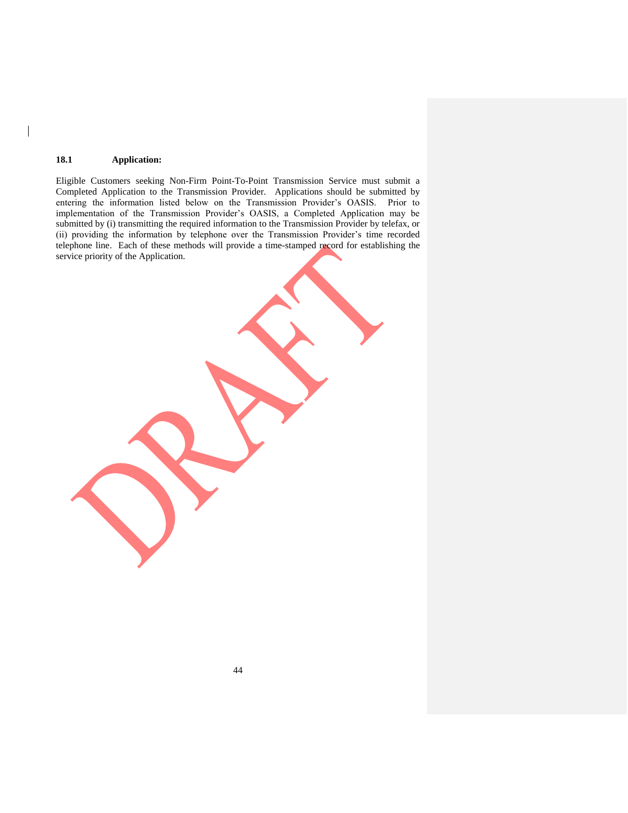## **18.1 Application:**

 $\overline{\phantom{a}}$ 

Eligible Customers seeking Non-Firm Point-To-Point Transmission Service must submit a Completed Application to the Transmission Provider. Applications should be submitted by entering the information listed below on the Transmission Provider's OASIS. Prior to implementation of the Transmission Provider's OASIS, a Completed Application may be submitted by (i) transmitting the required information to the Transmission Provider by telefax, or (ii) providing the information by telephone over the Transmission Provider's time recorded telephone line. Each of these methods will provide a time-stamped record for establishing the service priority of the Application.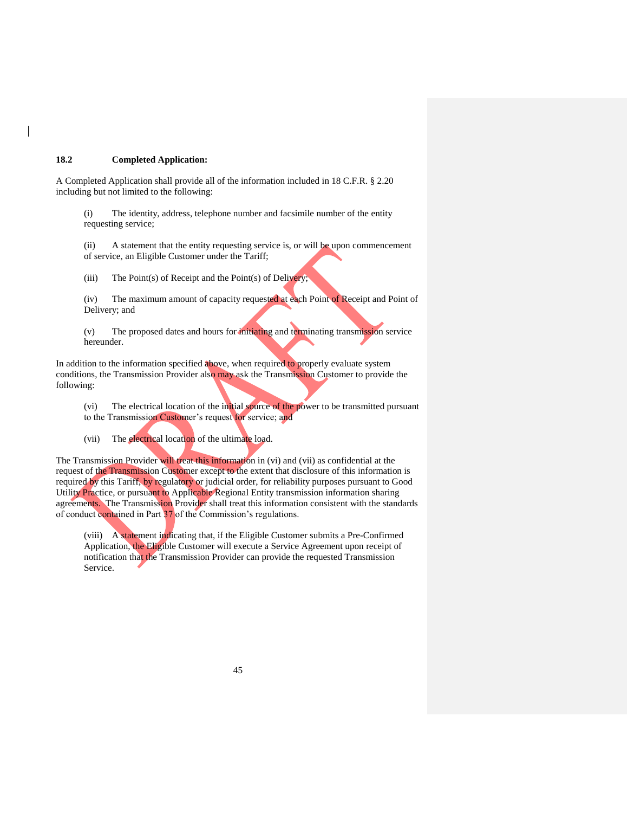### **18.2 Completed Application:**

A Completed Application shall provide all of the information included in 18 C.F.R. § 2.20 including but not limited to the following:

(i) The identity, address, telephone number and facsimile number of the entity requesting service;

(ii) A statement that the entity requesting service is, or will be upon commencement of service, an Eligible Customer under the Tariff;

(iii) The Point(s) of Receipt and the Point(s) of Delivery;

(iv) The maximum amount of capacity requested at each Point of Receipt and Point of Delivery; and

(v) The proposed dates and hours for initiating and terminating transmission service hereunder.

In addition to the information specified above, when required to properly evaluate system conditions, the Transmission Provider also may ask the Transmission Customer to provide the following:

(vi) The electrical location of the initial source of the power to be transmitted pursuant to the Transmission Customer's request for service; and

(vii) The electrical location of the ultimate load.

The Transmission Provider will treat this information in (vi) and (vii) as confidential at the request of the Transmission Customer except to the extent that disclosure of this information is required by this Tariff, by regulatory or judicial order, for reliability purposes pursuant to Good Utility Practice, or pursuant to Applicable Regional Entity transmission information sharing agreements. The Transmission Provider shall treat this information consistent with the standards of conduct contained in Part 37 of the Commission's regulations.

(viii) A statement indicating that, if the Eligible Customer submits a Pre-Confirmed Application, the Eligible Customer will execute a Service Agreement upon receipt of notification that the Transmission Provider can provide the requested Transmission Service.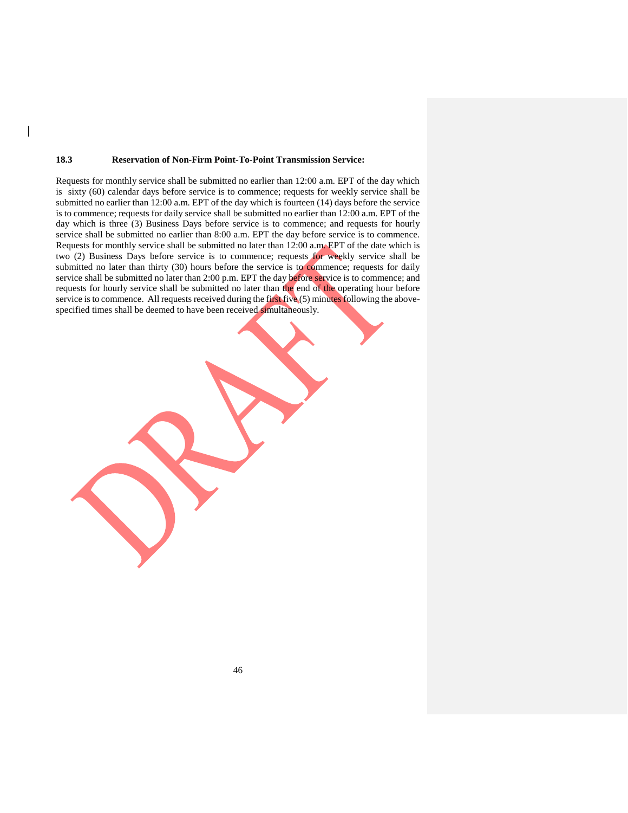#### **18.3 Reservation of Non-Firm Point-To-Point Transmission Service:**

Requests for monthly service shall be submitted no earlier than 12:00 a.m. EPT of the day which is sixty (60) calendar days before service is to commence; requests for weekly service shall be submitted no earlier than 12:00 a.m. EPT of the day which is fourteen (14) days before the service is to commence; requests for daily service shall be submitted no earlier than 12:00 a.m. EPT of the day which is three (3) Business Days before service is to commence; and requests for hourly service shall be submitted no earlier than 8:00 a.m. EPT the day before service is to commence. Requests for monthly service shall be submitted no later than 12:00 a.m. EPT of the date which is two (2) Business Days before service is to commence; requests for weekly service shall be submitted no later than thirty (30) hours before the service is to commence; requests for daily service shall be submitted no later than 2:00 p.m. EPT the day before service is to commence; and requests for hourly service shall be submitted no later than the end of the operating hour before service is to commence. All requests received during the first five (5) minutes following the abovespecified times shall be deemed to have been received simultaneously.

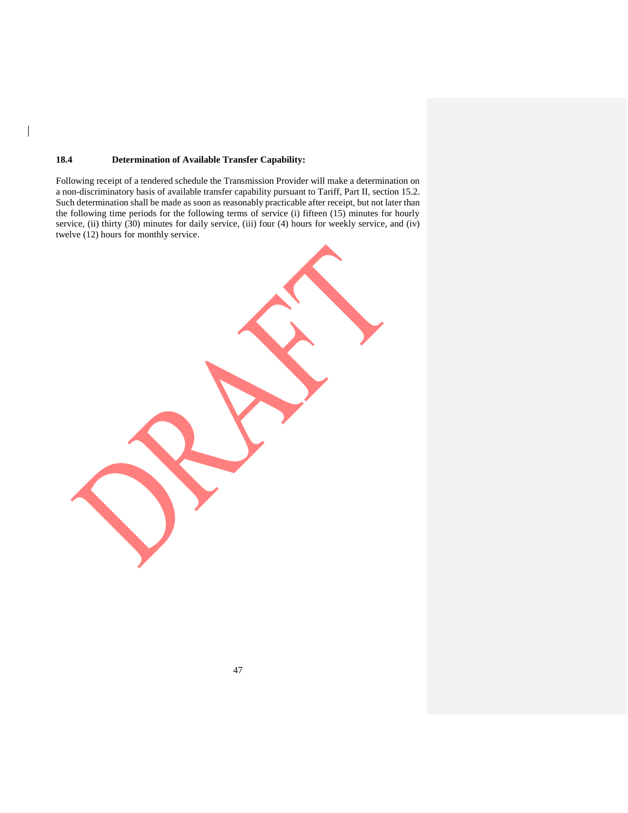## **18.4 Determination of Available Transfer Capability:**

 $\overline{\phantom{a}}$ 

Following receipt of a tendered schedule the Transmission Provider will make a determination on a non-discriminatory basis of available transfer capability pursuant to Tariff, Part II, section 15.2. Such determination shall be made as soon as reasonably practicable after receipt, but not later than the following time periods for the following terms of service (i) fifteen (15) minutes for hourly service, (ii) thirty (30) minutes for daily service, (iii) four (4) hours for weekly service, and (iv) twelve (12) hours for monthly service.

| $\alpha$ (12) notes for monthly service. |  |
|------------------------------------------|--|
|                                          |  |
|                                          |  |
|                                          |  |
|                                          |  |
|                                          |  |
|                                          |  |
|                                          |  |
|                                          |  |
|                                          |  |
|                                          |  |
|                                          |  |
|                                          |  |
|                                          |  |
|                                          |  |
|                                          |  |
|                                          |  |
|                                          |  |
|                                          |  |
|                                          |  |
|                                          |  |
|                                          |  |
|                                          |  |
|                                          |  |
|                                          |  |
|                                          |  |
|                                          |  |
|                                          |  |
|                                          |  |
|                                          |  |
|                                          |  |
|                                          |  |
|                                          |  |
|                                          |  |
|                                          |  |
|                                          |  |
|                                          |  |
|                                          |  |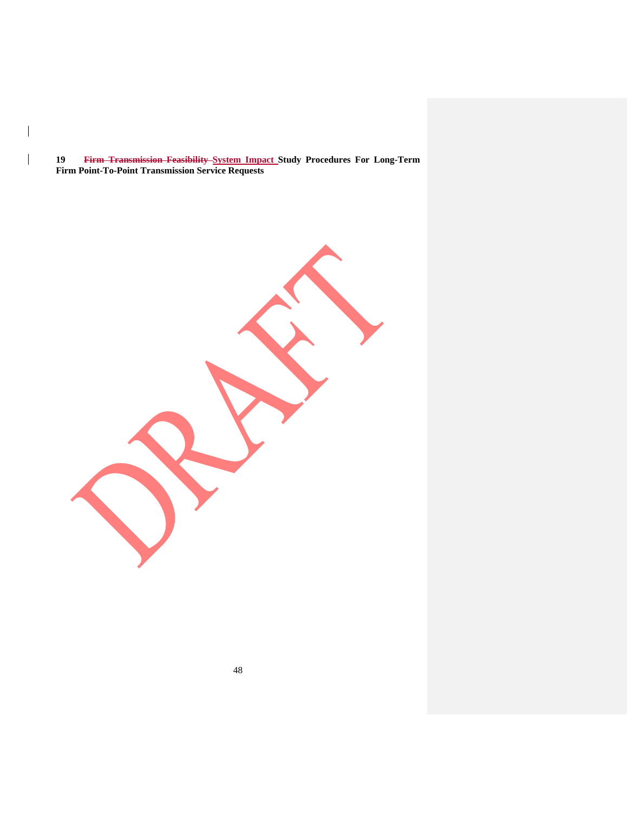**19 Firm Transmission Feasibility System Impact Study Procedures For Long-Term Firm Point-To-Point Transmission Service Requests**

 $\mathbf{I}$ 

 $\overline{\phantom{a}}$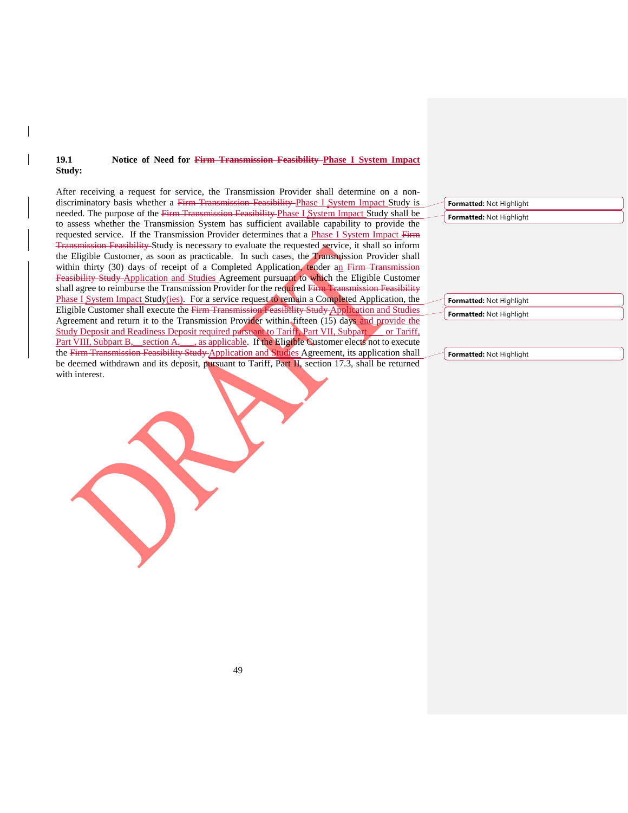### **19.1 Notice of Need for Firm Transmission Feasibility Phase I System Impact Study:**

After receiving a request for service, the Transmission Provider shall determine on a nondiscriminatory basis whether a Firm Transmission Feasibility Phase I System Impact Study is needed. The purpose of the Firm Transmission Feasibility Phase I System Impact Study shall be to assess whether the Transmission System has sufficient available capability to provide the requested service. If the Transmission Provider determines that a Phase I System Impact Firm Transmission Feasibility Study is necessary to evaluate the requested service, it shall so inform the Eligible Customer, as soon as practicable. In such cases, the Transmission Provider shall within thirty (30) days of receipt of a Completed Application, tender an Firm Transmission Feasibility Study Application and Studies Agreement pursuant to which the Eligible Customer shall agree to reimburse the Transmission Provider for the required Firm Transmission Feasibility Phase I System Impact Study(ies). For a service request to remain a Completed Application, the Eligible Customer shall execute the Firm Transmission Feasibility Study Application and Studies Agreement and return it to the Transmission Provider within fifteen (15) days and provide the Study Deposit and Readiness Deposit required pursuant to Tariff, Part VII, Subpart or Tariff, Part VIII, Subpart B, section A, as applicable. If the Eligible Customer elects not to execute the Firm Transmission Feasibility Study Application and Studies Agreement, its application shall be deemed withdrawn and its deposit, pursuant to Tariff, Part II, section 17.3, shall be returned with interest.

**Formatted:** Not Highlight **Formatted:** Not Highlight

**Formatted:** Not Highlight **Formatted:** Not Highlight

**Formatted:** Not Highlight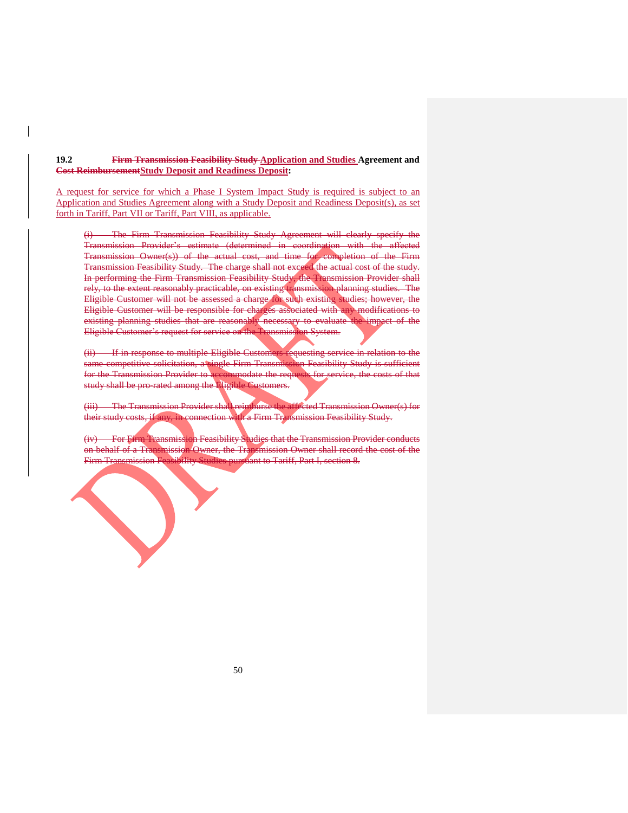**19.2 Firm Transmission Feasibility Study Application and Studies Agreement and Cost ReimbursementStudy Deposit and Readiness Deposit:**

A request for service for which a Phase I System Impact Study is required is subject to an Application and Studies Agreement along with a Study Deposit and Readiness Deposit(s), as set forth in Tariff, Part VII or Tariff, Part VIII, as applicable.

(i) The Firm Transmission Feasibility Study Agreement will clearly specify the Transmission Provider's estimate (determined in coordination with the affected Transmission Owner(s)) of the actual cost, and time for completion of the Firm Transmission Feasibility Study. The charge shall not exceed the actual cost of the study. In performing the Firm Transmission Feasibility Study, the Transmission Provider shall rely, to the extent reasonably practicable, on existing transmission planning studies. The Eligible Customer will not be assessed a charge for such existing studies; however, the Eligible Customer will be responsible for charges associated with any modifications to existing planning studies that are reasonably necessary to evaluate the impact of the Eligible Customer's request for service on the Transmission System.

(ii) If in response to multiple Eligible Customers requesting service in relation to the same competitive solicitation, a single Firm Transmission Feasibility Study is sufficient for the Transmission Provider to accommodate the requests for service, the costs of that study shall be pro-rated among the Eligible Customers.

(iii) The Transmission Provider shall reimburse the affected Transmission Owner(s) for their study costs, if any, in connection with a Firm Transmission Feasibility Study.

(iv) For Firm Transmission Feasibility Studies that the Transmission Provider conducts on behalf of a Transmission Owner, the Transmission Owner shall record the cost of the Firm Transmission Feasibility Studies pursuant to Tariff, Part I, section 8.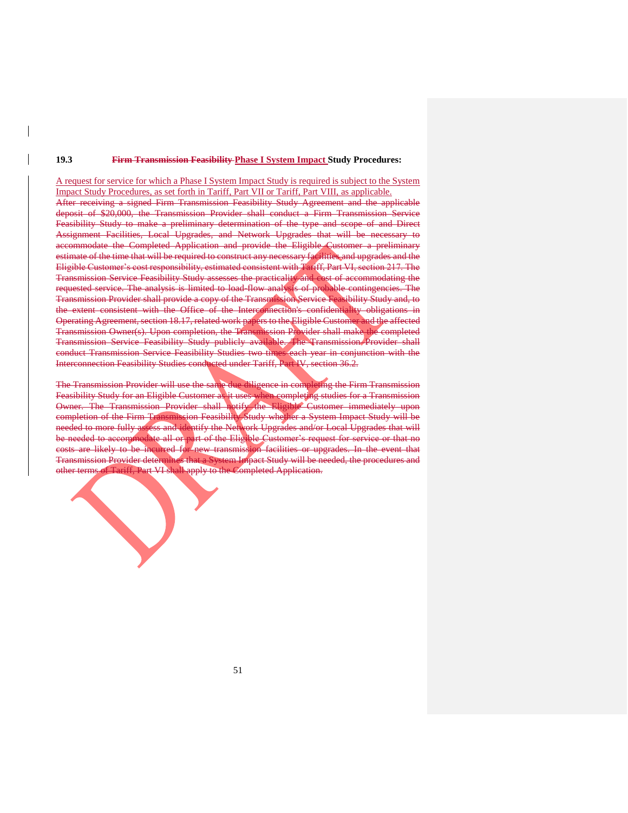#### **19.3 Firm Transmission Feasibility Phase I System Impact Study Procedures:**

A request for service for which a Phase I System Impact Study is required is subject to the System Impact Study Procedures, as set forth in Tariff, Part VII or Tariff, Part VIII, as applicable. After receiving a signed Firm Transmission Feasibility Study Agreement and the applicable deposit of \$20,000, the Transmission Provider shall conduct a Firm Transmission Service Feasibility Study to make a preliminary determination of the type and scope of and Direct Assignment Facilities, Local Upgrades, and Network Upgrades that will be necessary to accommodate the Completed Application and provide the Eligible Customer a preliminary estimate of the time that will be required to construct any necessary facilities and upgrades and the Eligible Customer's cost responsibility, estimated consistent with Tariff, Part VI, section 217. The Transmission Service Feasibility Study assesses the practicality and cost of accommodating the requested service. The analysis is limited to load-flow analysis of probable contingencies. The Transmission Provider shall provide a copy of the Transmission Service Feasibility Study and, to the extent consistent with the Office of the Interconnection's confidentiality obligations in Operating Agreement, section 18.17, related work papers to the Eligible Customer and the affected Transmission Owner(s). Upon completion, the Transmission Provider shall make the completed Transmission Service Feasibility Study publicly available. The Transmission Provider shall conduct Transmission Service Feasibility Studies two times each year in conjunction with the Interconnection Feasibility Studies conducted under Tariff, Part IV, section 36.2.

The Transmission Provider will use the same due diligence in completing the Firm Transmission Feasibility Study for an Eligible Customer as it uses when completing studies for a Transmission Owner. The Transmission Provider shall notify the Eligible Customer immediately upon completion of the Firm Transmission Feasibility Study whether a System Impact Study will be needed to more fully assess and identify the Network Upgrades and/or Local Upgrades that will be needed to accommodate all or part of the Eligible Customer's request for service or that no costs are likely to be incurred for new transmission facilities or upgrades. In the event that Transmission Provider determines that a System Impact Study will be needed, the procedures and other terms of Tariff, Part VI shall apply to the Completed Application.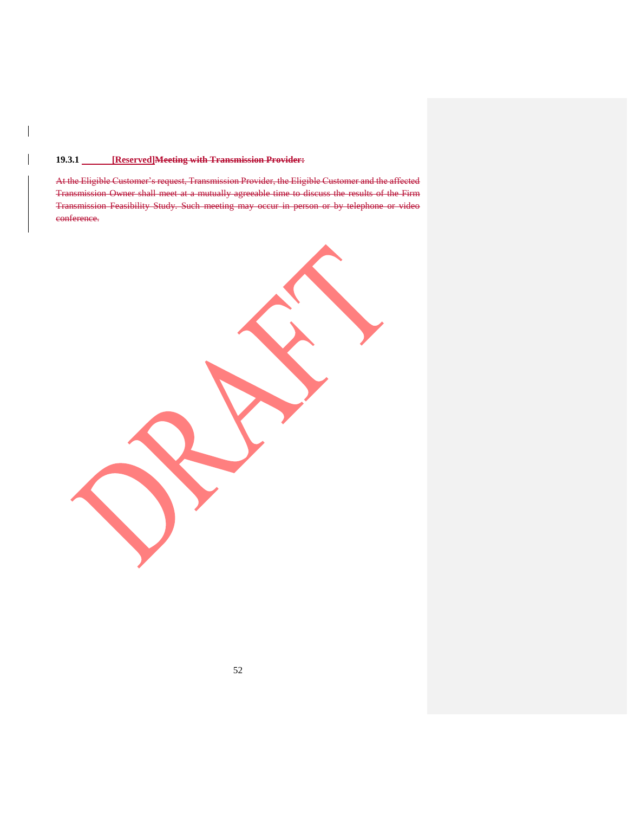## **19.3.1 [Reserved]Meeting with Transmission Provider:**

 $\overline{\phantom{a}}$ 

At the Eligible Customer's request, Transmission Provider, the Eligible Customer and the affected Transmission Owner shall meet at a mutually agreeable time to discuss the results of the Firm Transmission Feasibility Study. Such meeting may occur in person or by telephone or video conference.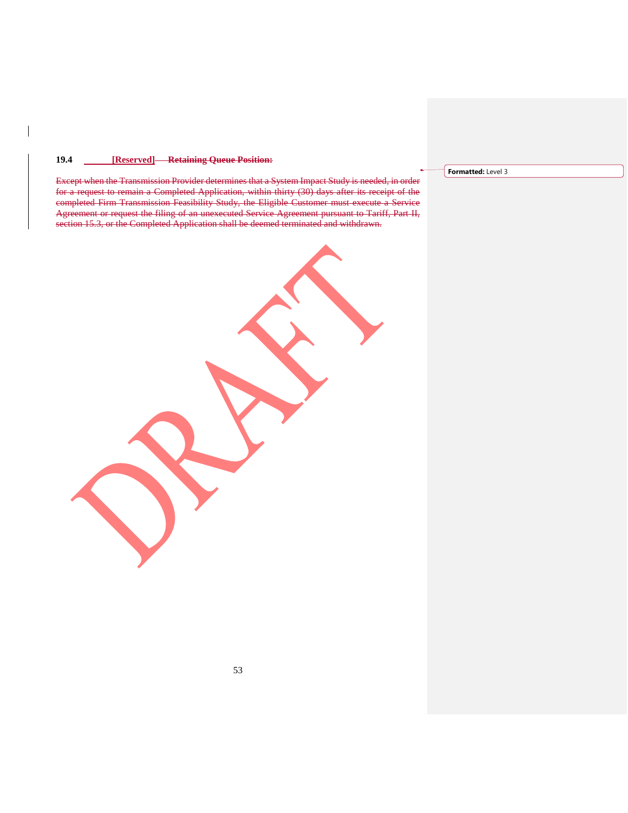## **19.4 [Reserved] Retaining Queue Position:**

Except when the Transmission Provider determines that a System Impact Study is needed, in order for a request to remain a Completed Application, within thirty (30) days after its receipt of the completed Firm Transmission Feasibility Study, the Eligible Customer must execute a Service Agreement or request the filing of an unexecuted Service Agreement pursuant to Tariff, Part II, section 15.3, or the Completed Application shall be deemed terminated and withdrawn.

**Formatted:** Level 3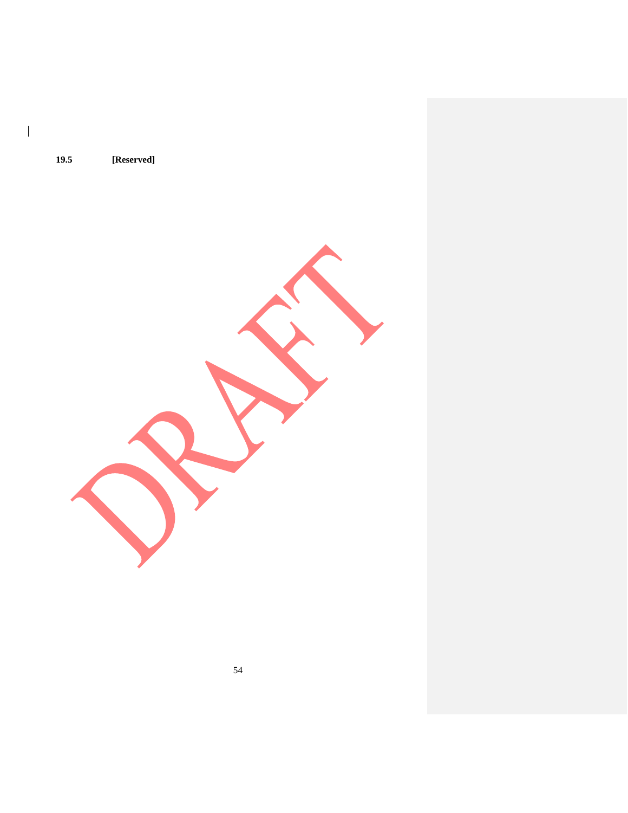**19.5 [Reserved]**

 $\overline{\phantom{a}}$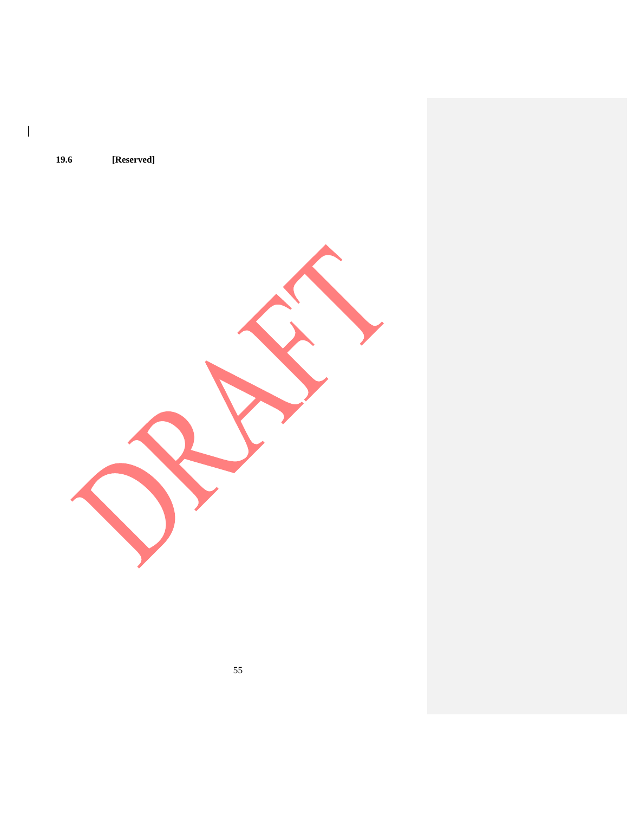**19.6 [Reserved]**

 $\mathsf I$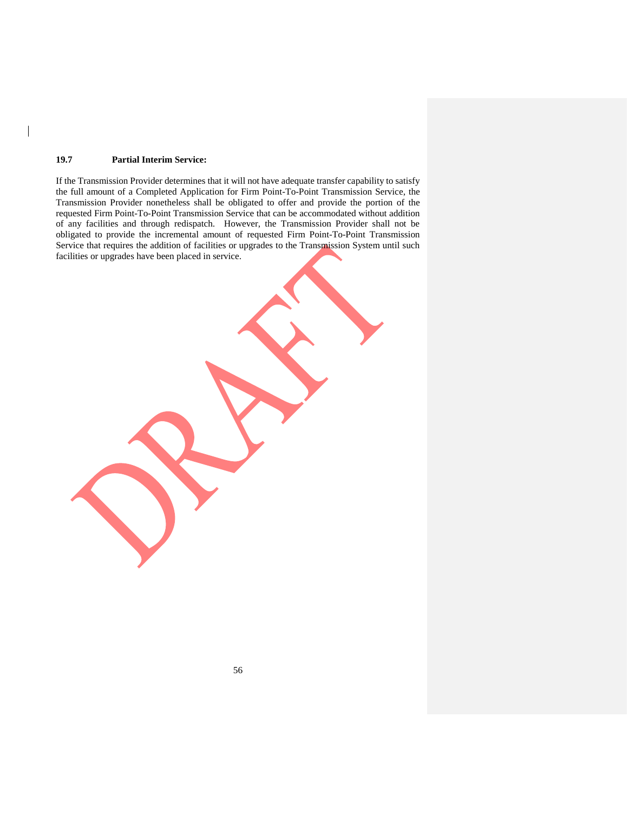## **19.7 Partial Interim Service:**

 $\overline{\phantom{a}}$ 

If the Transmission Provider determines that it will not have adequate transfer capability to satisfy the full amount of a Completed Application for Firm Point-To-Point Transmission Service, the Transmission Provider nonetheless shall be obligated to offer and provide the portion of the requested Firm Point-To-Point Transmission Service that can be accommodated without addition of any facilities and through redispatch. However, the Transmission Provider shall not be obligated to provide the incremental amount of requested Firm Point-To-Point Transmission Service that requires the addition of facilities or upgrades to the Transmission System until such facilities or upgrades have been placed in service.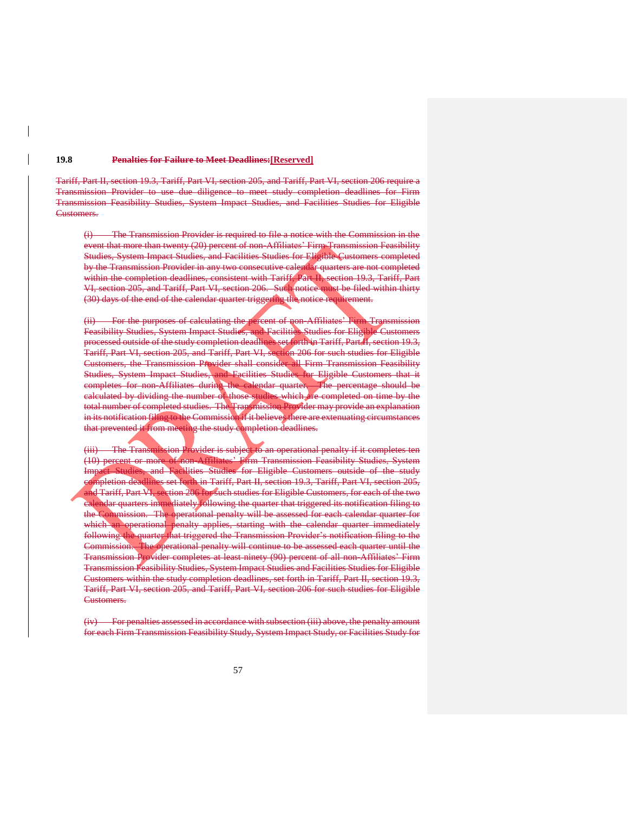#### **19.8 Penalties for Failure to Meet Deadlines:[Reserved]**

Tariff, Part II, section 19.3, Tariff, Part VI, section 205, and Tariff, Part VI, section 206 require a Transmission Provider to use due diligence to meet study completion deadlines for Firm Transmission Feasibility Studies, System Impact Studies, and Facilities Studies for Eligible Customers.

(i) The Transmission Provider is required to file a notice with the Commission in the event that more than twenty (20) percent of non-Affiliates' Firm Transmission Feasibility Studies, System Impact Studies, and Facilities Studies for Eligible Customers completed by the Transmission Provider in any two consecutive calendar quarters are not completed within the completion deadlines, consistent with Tariff, Part II, section 19.3, Tariff, Part VI, section 205, and Tariff, Part VI, section 206. Such notice must be filed within thirty (30) days of the end of the calendar quarter triggering the notice requirement.

(ii) For the purposes of calculating the percent of non-Affiliates' Firm Transmission Feasibility Studies, System Impact Studies, and Facilities Studies for Eligible Customers processed outside of the study completion deadlines set forth in Tariff, Part II, section 19.3, Tariff, Part VI, section 205, and Tariff, Part VI, section 206 for such studies for Eligible Customers, the Transmission Provider shall consider all Firm Transmission Feasibility Studies, System Impact Studies, and Facilities Studies for Eligible Customers that it completes for non-Affiliates during the calendar quarter. The percentage should be calculated by dividing the number of those studies which are completed on time by the total number of completed studies. The Transmission Provider may provide an explanation in its notification filing to the Commission if it believes there are extenuating circumstances that prevented it from meeting the study completion deadlines.

(iii) The Transmission Provider is subject to an operational penalty if it completes ten (10) percent or more of non-Affiliates' Firm Transmission Feasibility Studies, System Impact Studies, and Facilities Studies for Eligible Customers outside of the study completion deadlines set forth in Tariff, Part II, section 19.3, Tariff, Part VI, section 205, and Tariff, Part VI, section 206 for such studies for Eligible Customers, for each of the two calendar quarters immediately following the quarter that triggered its notification filing to the Commission. The operational penalty will be assessed for each calendar quarter for which an operational penalty applies, starting with the calendar quarter immediately following the quarter that triggered the Transmission Provider's notification filing to the Commission. The operational penalty will continue to be assessed each quarter until the Transmission Provider completes at least ninety (90) percent of all non-Affiliates' Firm Transmission Feasibility Studies, System Impact Studies and Facilities Studies for Eligible Customers within the study completion deadlines, set forth in Tariff, Part II, section 19.3, Tariff, Part VI, section 205, and Tariff, Part VI, section 206 for such studies for Eligible Customers.

(iv) For penalties assessed in accordance with subsection (iii) above, the penalty amount for each Firm Transmission Feasibility Study, System Impact Study, or Facilities Study for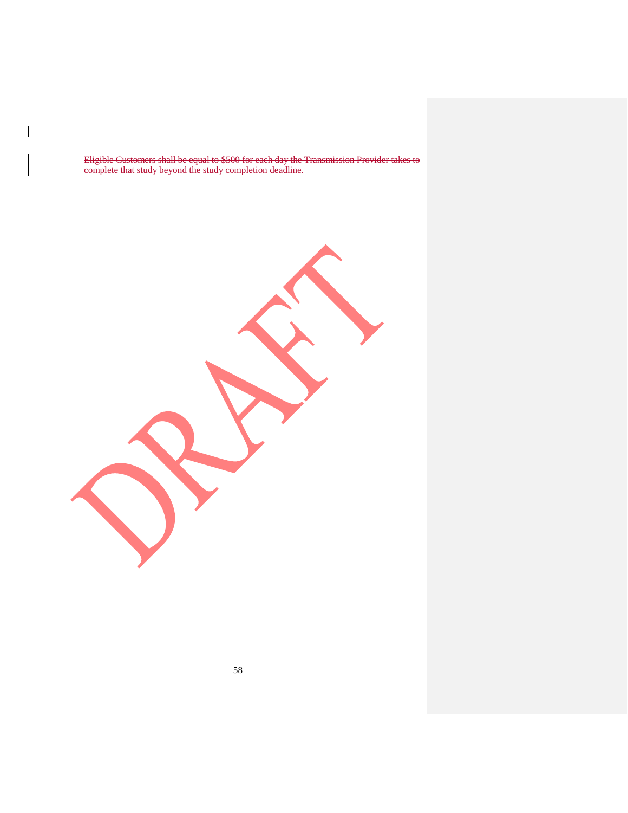Eligible Customers shall be equal to \$500 for each day the Transmission Provider takes to complete that study beyond the study completion deadline.

 $\overline{\phantom{a}}$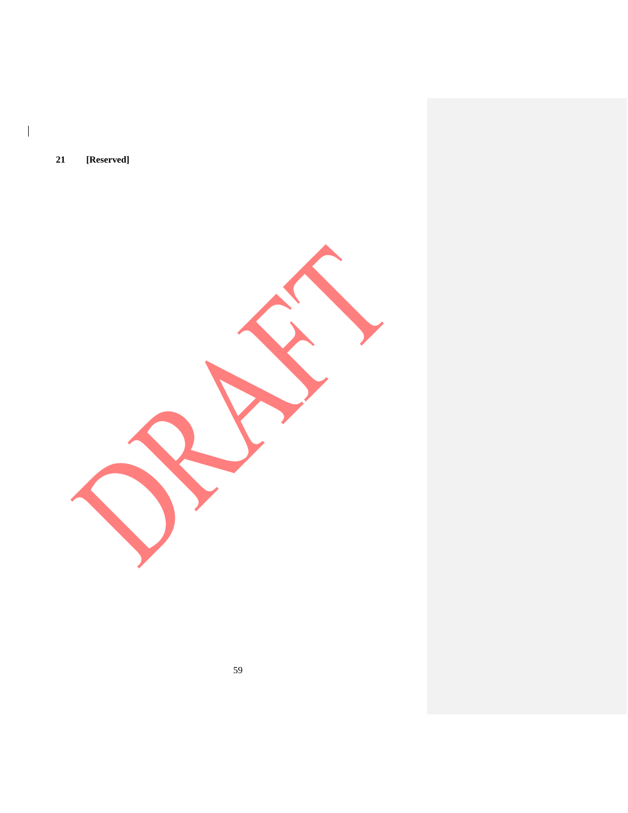**21 [Reserved]**

 $\overline{\phantom{a}}$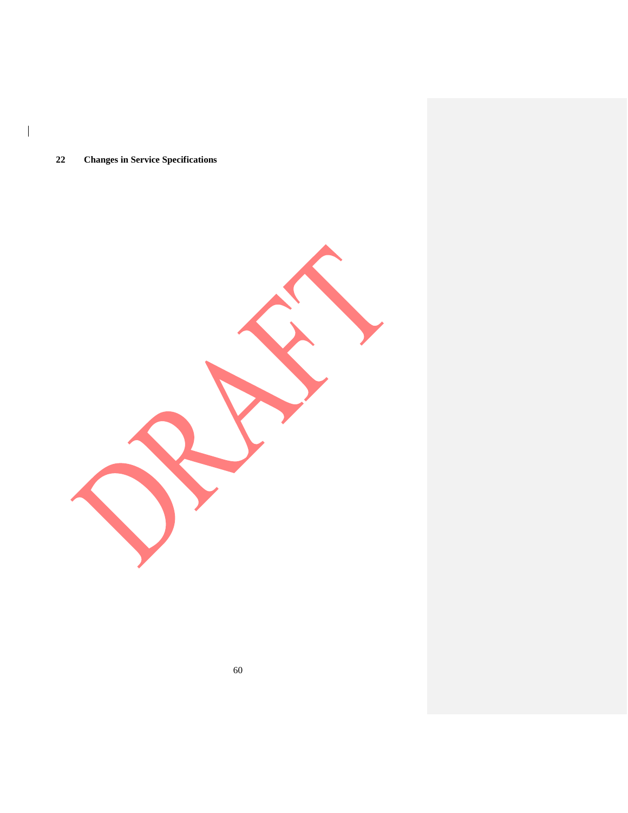# **Changes in Service Specifications**

 $\begin{array}{c} \hline \end{array}$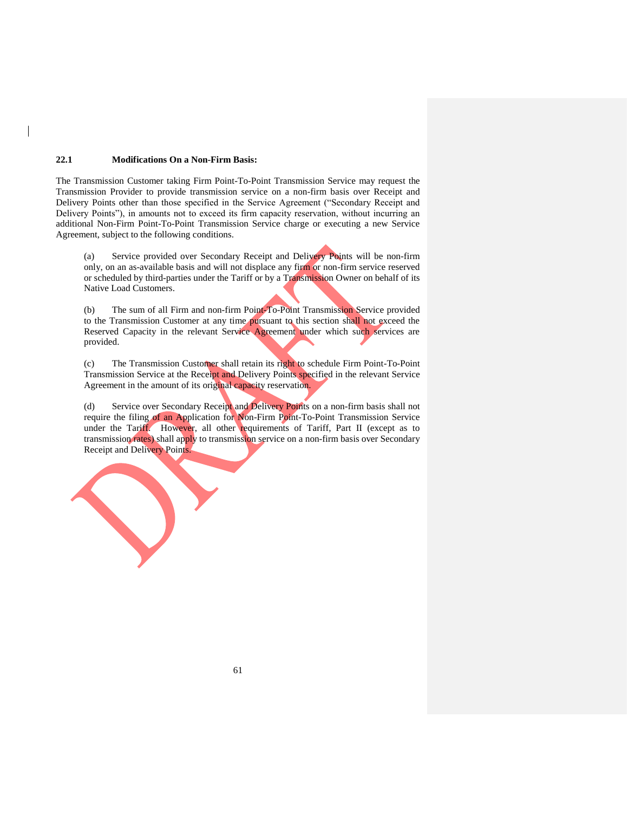#### **22.1 Modifications On a Non-Firm Basis:**

The Transmission Customer taking Firm Point-To-Point Transmission Service may request the Transmission Provider to provide transmission service on a non-firm basis over Receipt and Delivery Points other than those specified in the Service Agreement ("Secondary Receipt and Delivery Points"), in amounts not to exceed its firm capacity reservation, without incurring an additional Non-Firm Point-To-Point Transmission Service charge or executing a new Service Agreement, subject to the following conditions.

(a) Service provided over Secondary Receipt and Delivery Points will be non-firm only, on an as-available basis and will not displace any firm or non-firm service reserved or scheduled by third-parties under the Tariff or by a Transmission Owner on behalf of its Native Load Customers.

(b) The sum of all Firm and non-firm Point-To-Point Transmission Service provided to the Transmission Customer at any time pursuant to this section shall not exceed the Reserved Capacity in the relevant Service Agreement under which such services are provided.

(c) The Transmission Customer shall retain its right to schedule Firm Point-To-Point Transmission Service at the Receipt and Delivery Points specified in the relevant Service Agreement in the amount of its original capacity reservation.

(d) Service over Secondary Receipt and Delivery Points on a non-firm basis shall not require the filing of an Application for Non-Firm Point-To-Point Transmission Service under the Tariff. However, all other requirements of Tariff, Part II (except as to transmission rates) shall apply to transmission service on a non-firm basis over Secondary Receipt and Delivery Points.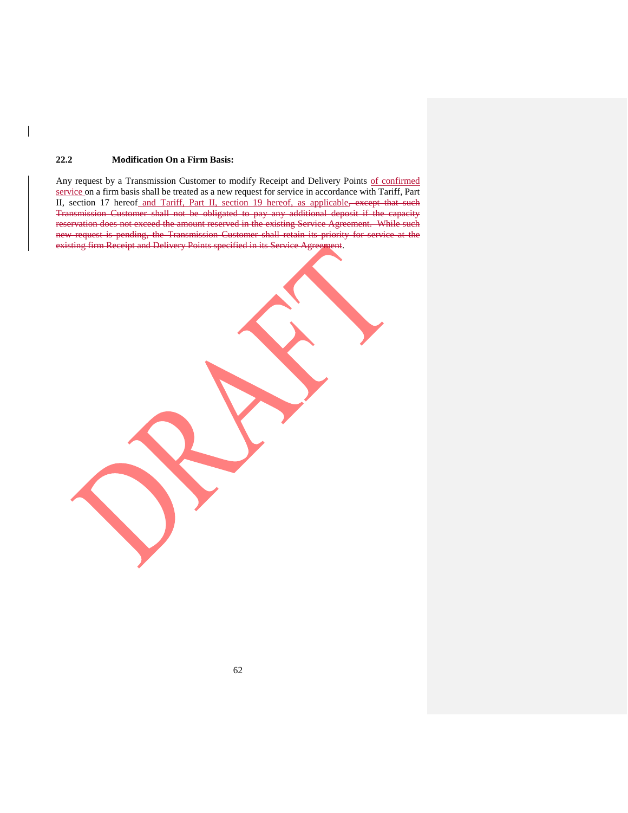### **22.2 Modification On a Firm Basis:**

Any request by a Transmission Customer to modify Receipt and Delivery Points of confirmed service on a firm basis shall be treated as a new request for service in accordance with Tariff, Part II, section 17 hereof and Tariff, Part II, section 19 hereof, as applicable, except that such Transmission Customer shall not be obligated to pay any additional deposit if the capacity reservation does not exceed the amount reserved in the existing Service Agreement. While such new request is pending, the Transmission Customer shall retain its priority for service at the existing firm Receipt and Delivery Points specified in its Service Agreement.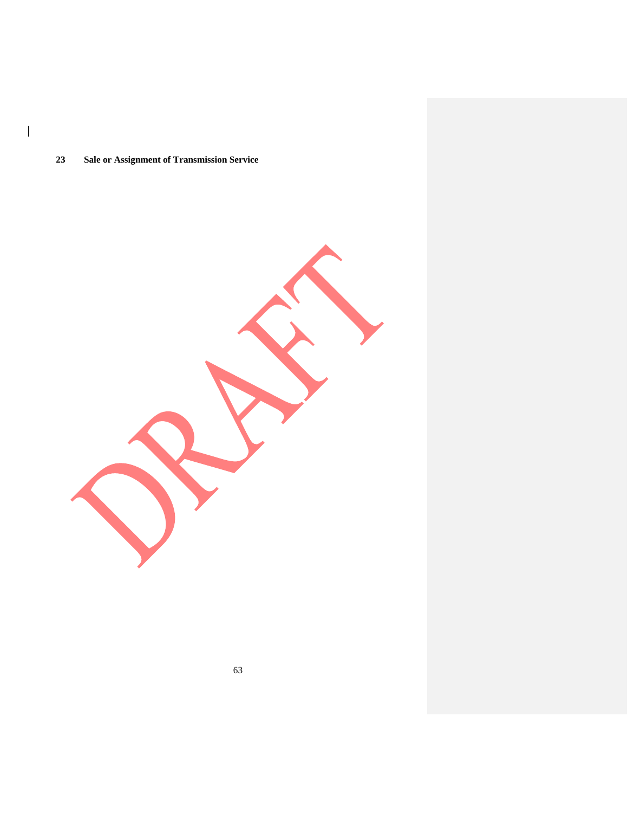## **Sale or Assignment of Transmission Service**

 $\begin{array}{c} \hline \end{array}$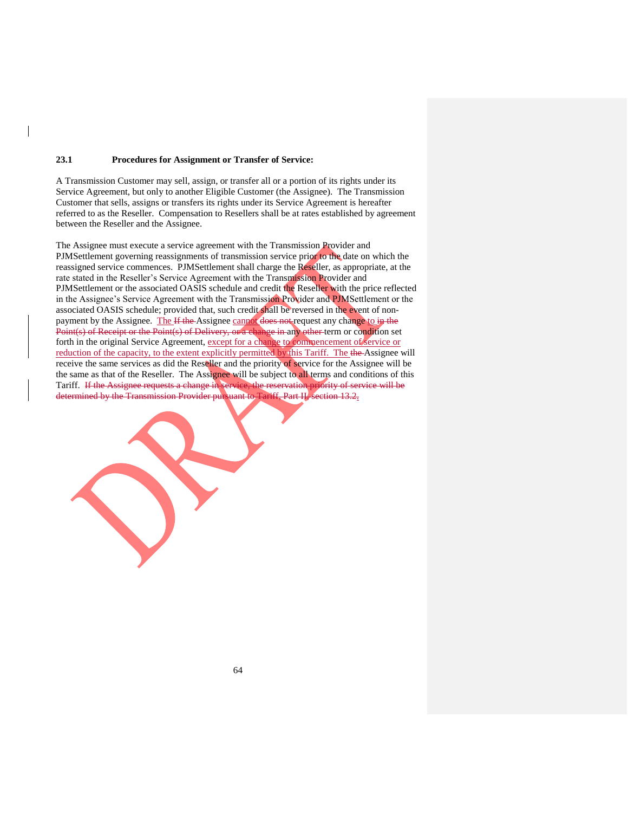#### **23.1 Procedures for Assignment or Transfer of Service:**

A Transmission Customer may sell, assign, or transfer all or a portion of its rights under its Service Agreement, but only to another Eligible Customer (the Assignee). The Transmission Customer that sells, assigns or transfers its rights under its Service Agreement is hereafter referred to as the Reseller. Compensation to Resellers shall be at rates established by agreement between the Reseller and the Assignee.

The Assignee must execute a service agreement with the Transmission Provider and PJMSettlement governing reassignments of transmission service prior to the date on which the reassigned service commences. PJMSettlement shall charge the Reseller, as appropriate, at the rate stated in the Reseller's Service Agreement with the Transmission Provider and PJMSettlement or the associated OASIS schedule and credit the Reseller with the price reflected in the Assignee's Service Agreement with the Transmission Provider and PJMSettlement or the associated OASIS schedule; provided that, such credit shall be reversed in the event of nonpayment by the Assignee. The If the Assignee cannot does not request any change to in the Point(s) of Receipt or the Point(s) of Delivery, or a change in any other term or condition set forth in the original Service Agreement, except for a change to commencement of service or reduction of the capacity, to the extent explicitly permitted by this Tariff. The the Assignee will receive the same services as did the Reseller and the priority of service for the Assignee will be the same as that of the Reseller. The Assignee will be subject to all terms and conditions of this Tariff. If the Assignee requests a change in service, the reservation priority of service will be determined by the Transmission Provider pursuant to Tariff, Part II, section 13.2.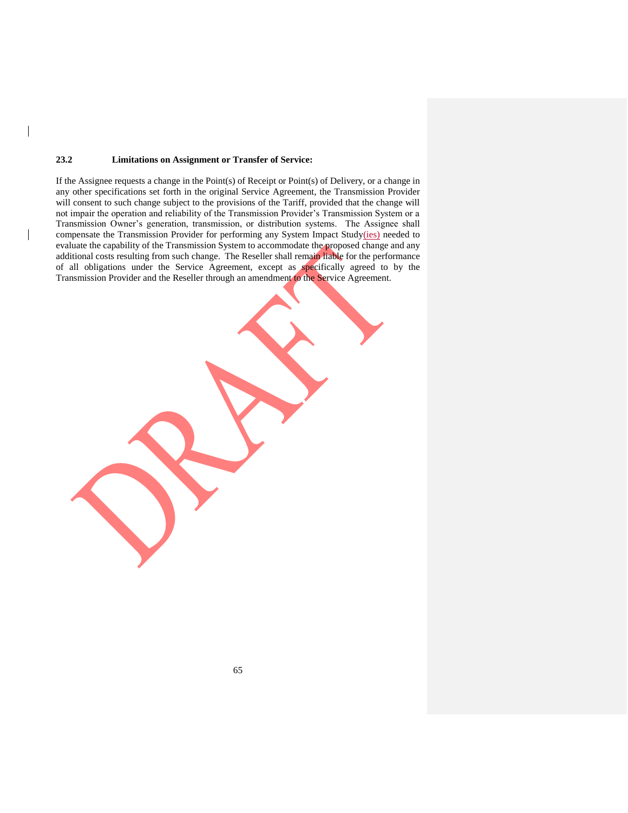#### **23.2 Limitations on Assignment or Transfer of Service:**

 $\overline{\phantom{a}}$ 

If the Assignee requests a change in the Point(s) of Receipt or Point(s) of Delivery, or a change in any other specifications set forth in the original Service Agreement, the Transmission Provider will consent to such change subject to the provisions of the Tariff, provided that the change will not impair the operation and reliability of the Transmission Provider's Transmission System or a Transmission Owner's generation, transmission, or distribution systems. The Assignee shall compensate the Transmission Provider for performing any System Impact Study(ies) needed to evaluate the capability of the Transmission System to accommodate the proposed change and any additional costs resulting from such change. The Reseller shall remain liable for the performance of all obligations under the Service Agreement, except as specifically agreed to by the Transmission Provider and the Reseller through an amendment to the Service Agreement.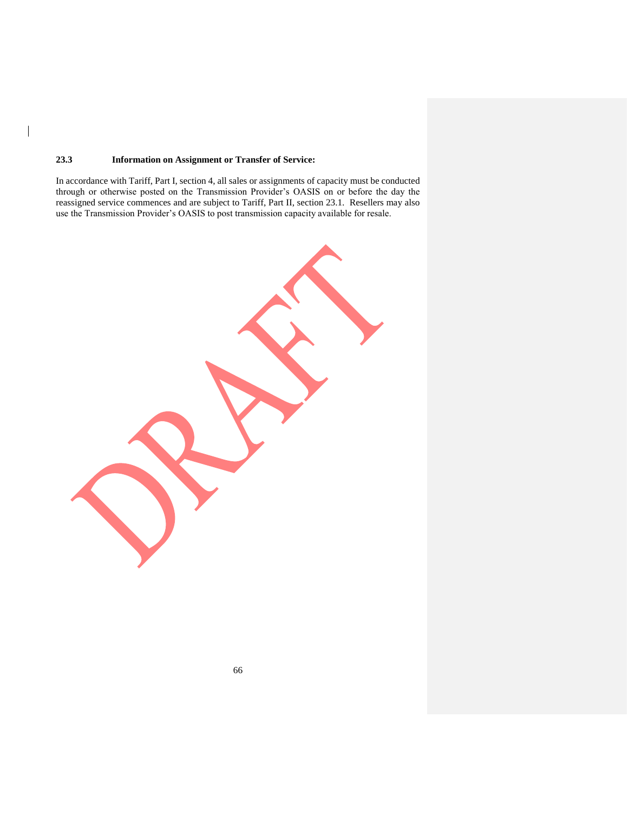### **23.3 Information on Assignment or Transfer of Service:**

 $\overline{\phantom{a}}$ 

In accordance with Tariff, Part I, section 4, all sales or assignments of capacity must be conducted through or otherwise posted on the Transmission Provider's OASIS on or before the day the reassigned service commences and are subject to Tariff, Part II, section 23.1. Resellers may also use the Transmission Provider's OASIS to post transmission capacity available for resale.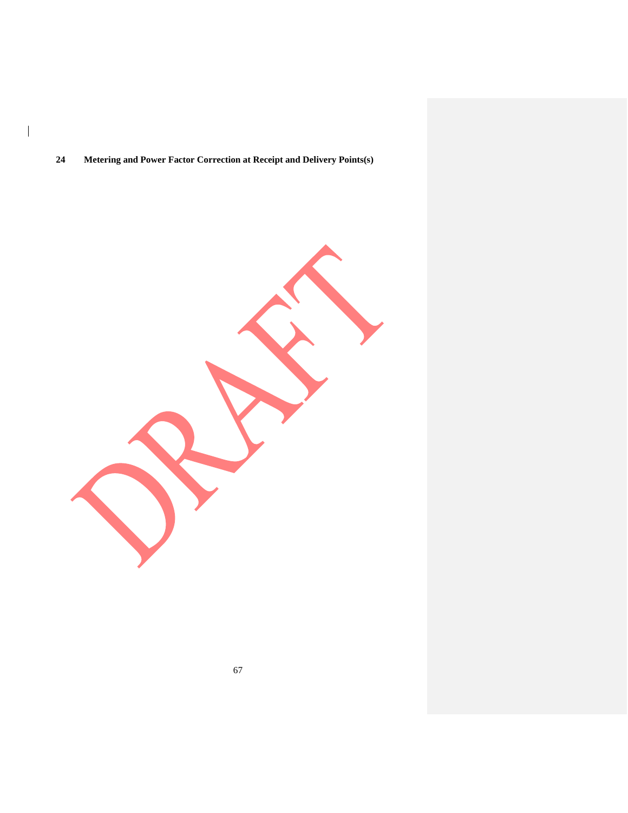# **Metering and Power Factor Correction at Receipt and Delivery Points(s)**

 $\begin{array}{c} \hline \end{array}$ 

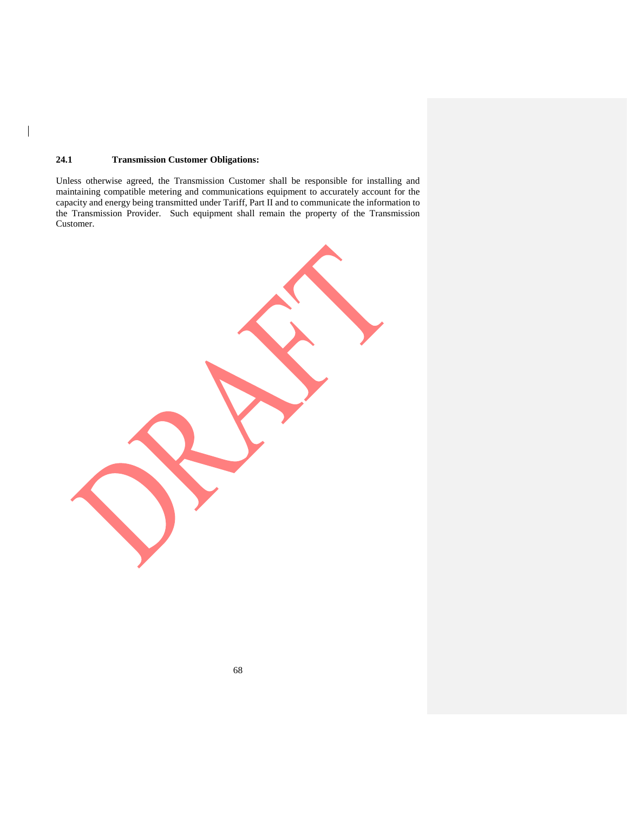### **24.1 Transmission Customer Obligations:**

 $\overline{\phantom{a}}$ 

Unless otherwise agreed, the Transmission Customer shall be responsible for installing and maintaining compatible metering and communications equipment to accurately account for the capacity and energy being transmitted under Tariff, Part II and to communicate the information to the Transmission Provider. Such equipment shall remain the property of the Transmission Customer.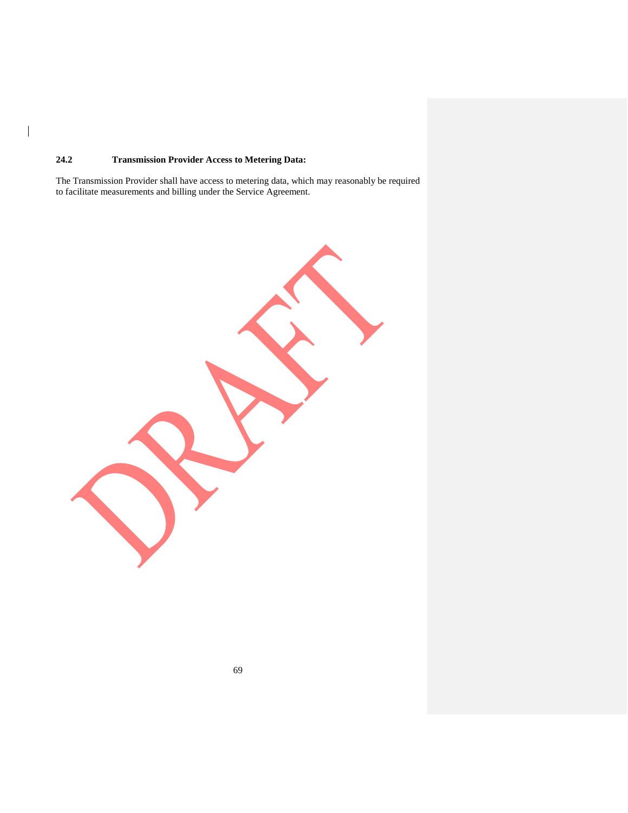## **24.2 Transmission Provider Access to Metering Data:**

 $\overline{\phantom{a}}$ 

The Transmission Provider shall have access to metering data, which may reasonably be required to facilitate measurements and billing under the Service Agreement.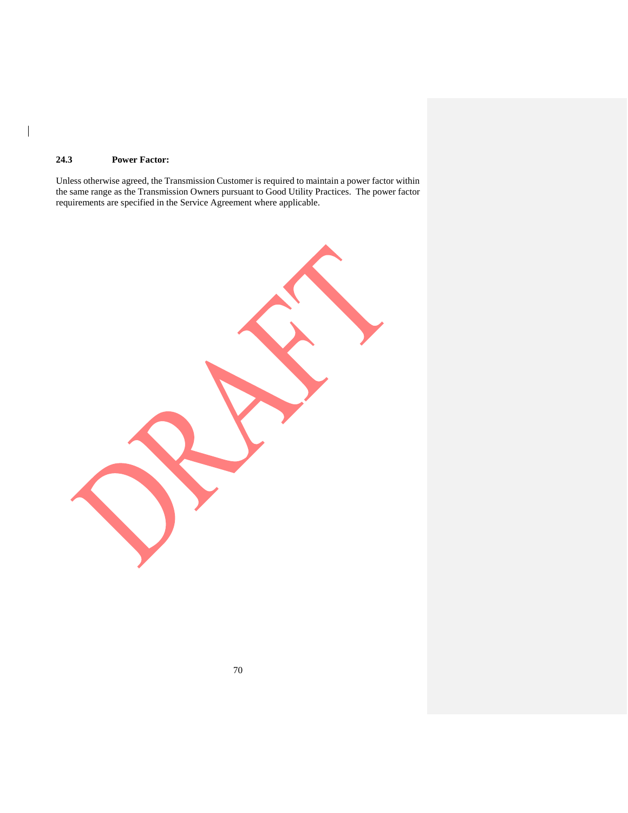## **24.3 Power Factor:**

 $\overline{\phantom{a}}$ 

Unless otherwise agreed, the Transmission Customer is required to maintain a power factor within the same range as the Transmission Owners pursuant to Good Utility Practices. The power factor requirements are specified in the Service Agreement where applicable.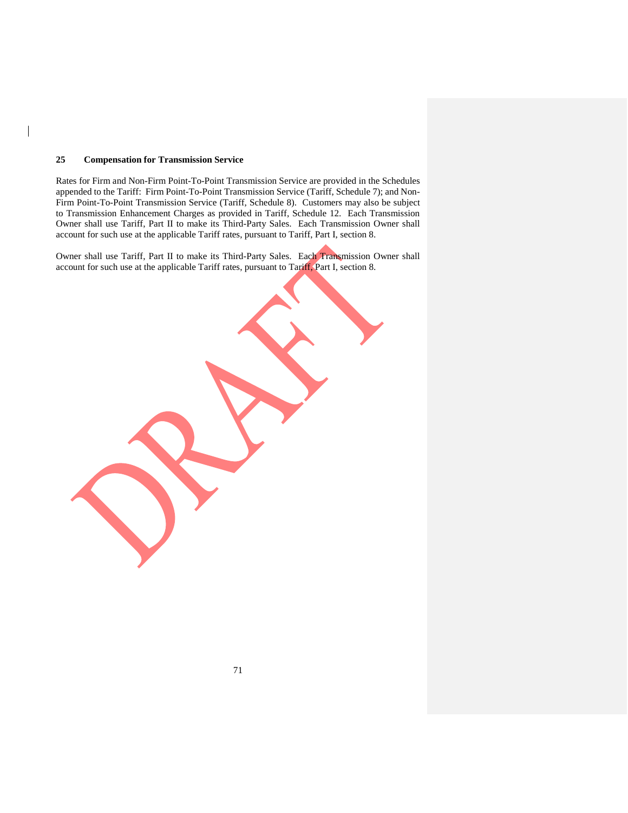#### **25 Compensation for Transmission Service**

Rates for Firm and Non-Firm Point-To-Point Transmission Service are provided in the Schedules appended to the Tariff: Firm Point-To-Point Transmission Service (Tariff, Schedule 7); and Non-Firm Point-To-Point Transmission Service (Tariff, Schedule 8). Customers may also be subject to Transmission Enhancement Charges as provided in Tariff, Schedule 12. Each Transmission Owner shall use Tariff, Part II to make its Third-Party Sales. Each Transmission Owner shall account for such use at the applicable Tariff rates, pursuant to Tariff, Part I, section 8.

Owner shall use Tariff, Part II to make its Third-Party Sales. Each Transmission Owner shall account for such use at the applicable Tariff rates, pursuant to Tariff, Part I, section 8.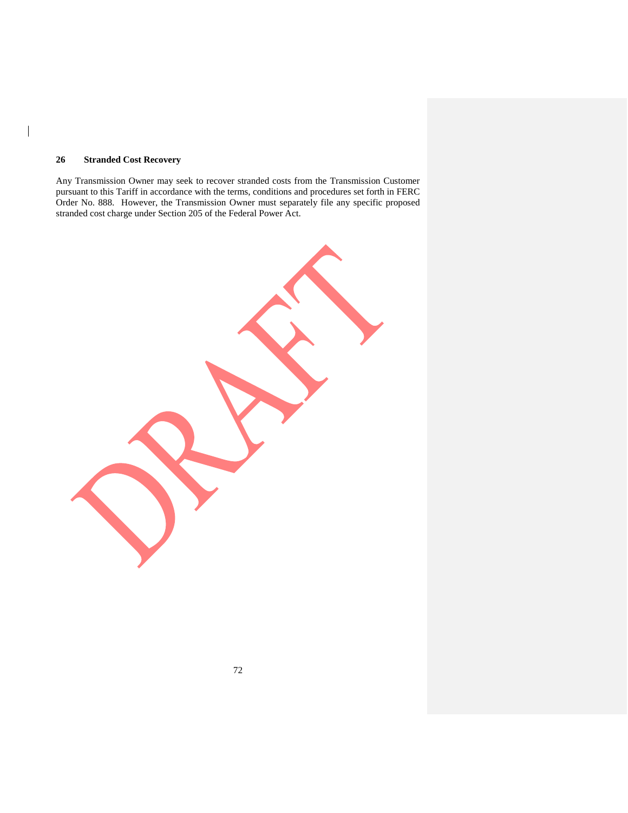## **26 Stranded Cost Recovery**

 $\overline{\phantom{a}}$ 

Any Transmission Owner may seek to recover stranded costs from the Transmission Customer pursuant to this Tariff in accordance with the terms, conditions and procedures set forth in FERC Order No. 888. However, the Transmission Owner must separately file any specific proposed stranded cost charge under Section 205 of the Federal Power Act.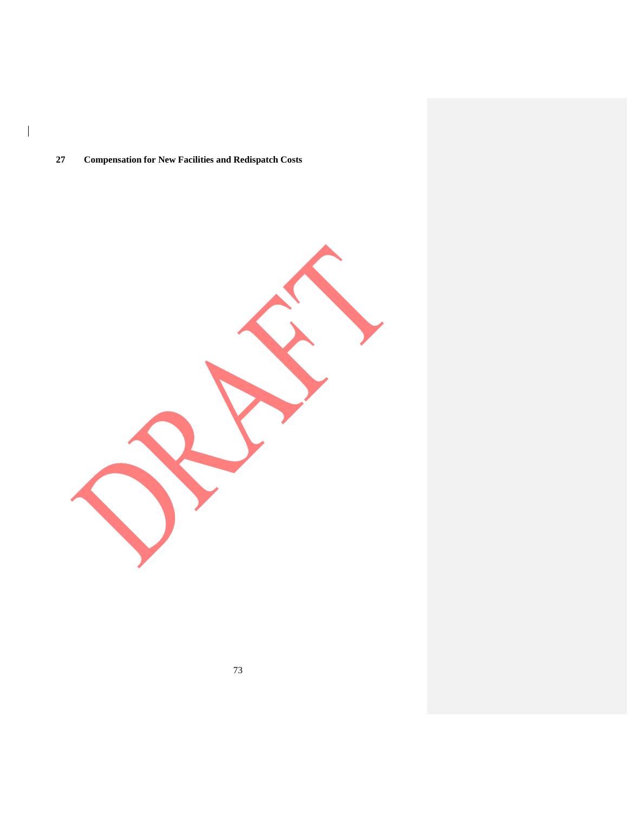## **Compensation for New Facilities and Redispatch Costs**

 $\begin{array}{c} \hline \end{array}$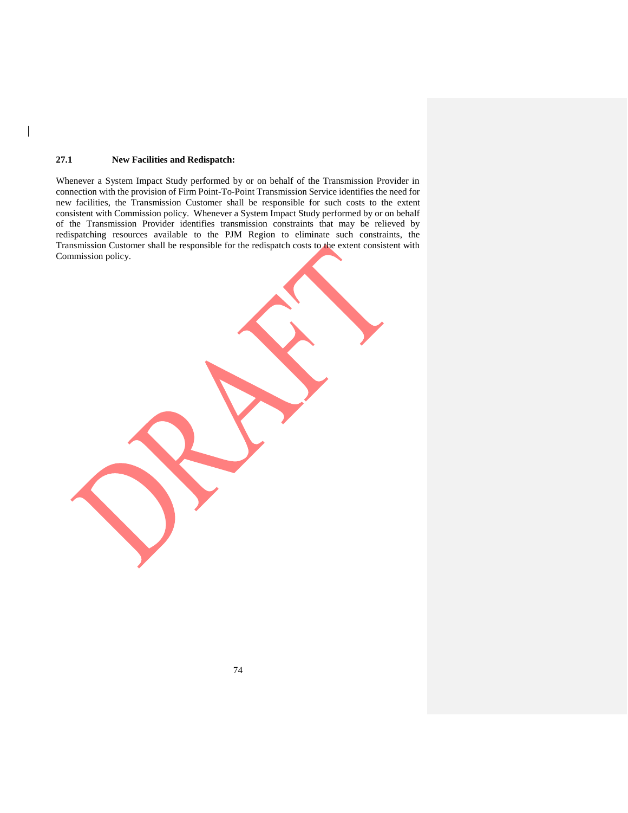## **27.1 New Facilities and Redispatch:**

Whenever a System Impact Study performed by or on behalf of the Transmission Provider in connection with the provision of Firm Point-To-Point Transmission Service identifies the need for new facilities, the Transmission Customer shall be responsible for such costs to the extent consistent with Commission policy. Whenever a System Impact Study performed by or on behalf of the Transmission Provider identifies transmission constraints that may be relieved by redispatching resources available to the PJM Region to eliminate such constraints, the Transmission Customer shall be responsible for the redispatch costs to the extent consistent with Commission policy.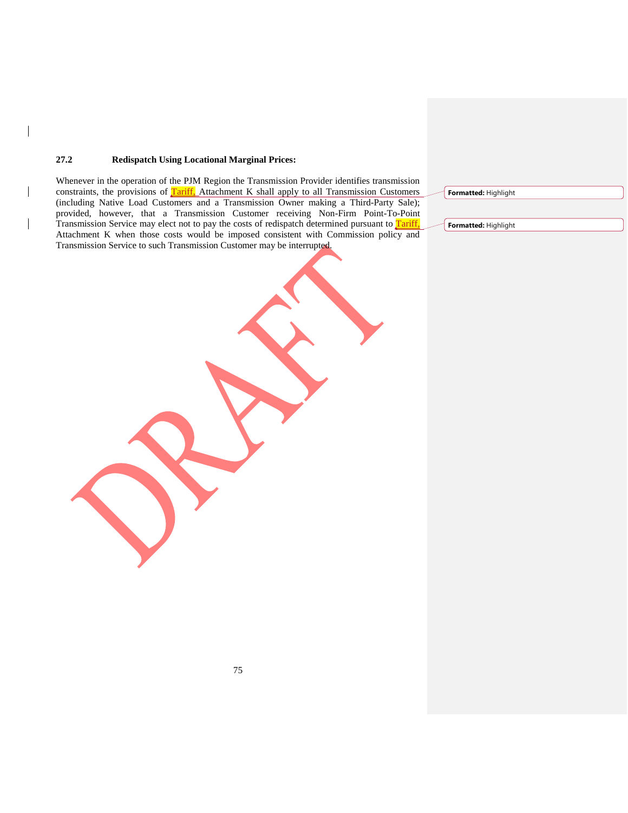## **27.2 Redispatch Using Locational Marginal Prices:**

 $\overline{\phantom{a}}$ 

 $\overline{\phantom{a}}$ 

Whenever in the operation of the PJM Region the Transmission Provider identifies transmission constraints, the provisions of Tariff, Attachment K shall apply to all Transmission Customers (including Native Load Customers and a Transmission Owner making a Third-Party Sale); provided, however, that a Transmission Customer receiving Non-Firm Point-To-Point Transmission Service may elect not to pay the costs of redispatch determined pursuant to Tariff, Attachment K when those costs would be imposed consistent with Commission policy and Transmission Service to such Transmission Customer may be interrupted.

**Formatted:** Highlight

**Formatted:** Highlight